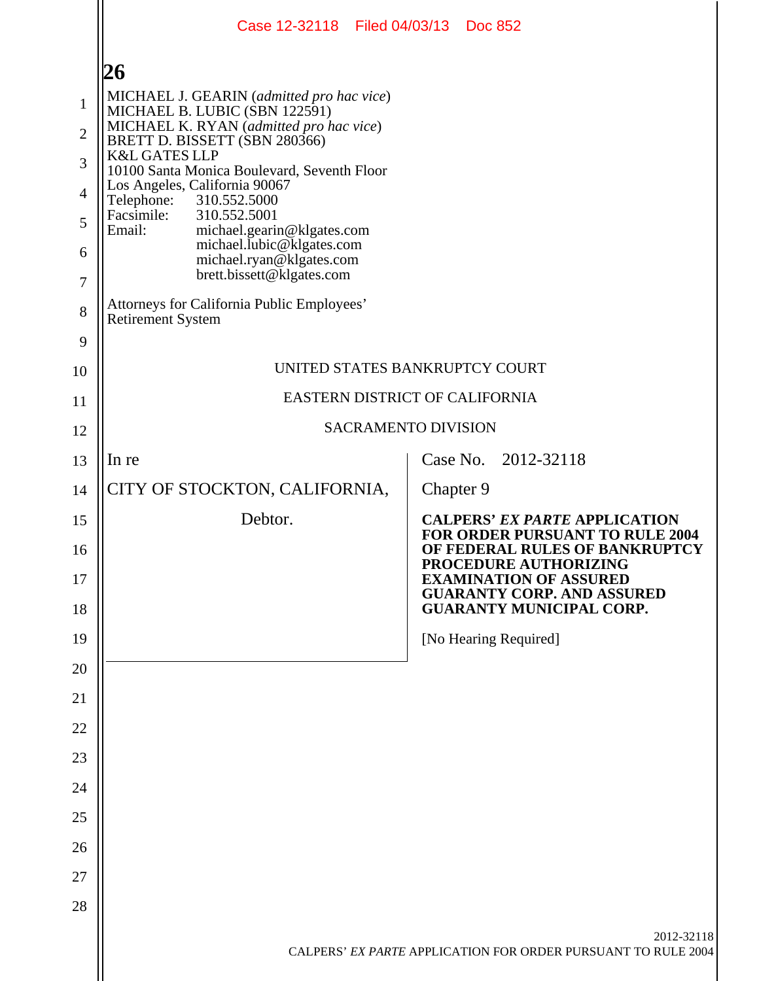|                | Case 12-32118 Filed 04/03/13 Doc 852                                                                      |                                                                                                                  |  |  |  |  |  |  |
|----------------|-----------------------------------------------------------------------------------------------------------|------------------------------------------------------------------------------------------------------------------|--|--|--|--|--|--|
|                | 26                                                                                                        |                                                                                                                  |  |  |  |  |  |  |
| $\mathbf{1}$   | MICHAEL J. GEARIN (admitted pro hac vice)                                                                 |                                                                                                                  |  |  |  |  |  |  |
| $\overline{2}$ | MICHAEL B. LUBIC (SBN 122591)<br>MICHAEL K. RYAN (admitted pro hac vice)<br>BRETT D. BISSETT (SBN 280366) |                                                                                                                  |  |  |  |  |  |  |
| 3              | <b>K&amp;L GATES LLP</b><br>10100 Santa Monica Boulevard, Seventh Floor                                   |                                                                                                                  |  |  |  |  |  |  |
| $\overline{4}$ | Los Angeles, California 90067<br>310.552.5000<br>Telephone:                                               |                                                                                                                  |  |  |  |  |  |  |
| 5              | Facsimile:<br>310.552.5001<br>Email:<br>michael.gearin@klgates.com                                        |                                                                                                                  |  |  |  |  |  |  |
| 6              | michael.lubic@klgates.com<br>michael.ryan@klgates.com                                                     |                                                                                                                  |  |  |  |  |  |  |
| 7              | brett.bissett@klgates.com                                                                                 |                                                                                                                  |  |  |  |  |  |  |
| 8              | Attorneys for California Public Employees'<br><b>Retirement System</b>                                    |                                                                                                                  |  |  |  |  |  |  |
| 9              |                                                                                                           |                                                                                                                  |  |  |  |  |  |  |
| 10             |                                                                                                           | UNITED STATES BANKRUPTCY COURT                                                                                   |  |  |  |  |  |  |
| 11             |                                                                                                           | EASTERN DISTRICT OF CALIFORNIA                                                                                   |  |  |  |  |  |  |
| 12             | SACRAMENTO DIVISION                                                                                       |                                                                                                                  |  |  |  |  |  |  |
| 13             | In re                                                                                                     | Case No. 2012-32118                                                                                              |  |  |  |  |  |  |
| 14             | CITY OF STOCKTON, CALIFORNIA,                                                                             | Chapter 9                                                                                                        |  |  |  |  |  |  |
| 15             | Debtor.                                                                                                   | <b>CALPERS' EX PARTE APPLICATION</b><br><b>FOR ORDER PURSUANT TO RULE 2004</b><br>OF FEDERAL RULES OF BANKRUPTCY |  |  |  |  |  |  |
| 16<br>17       |                                                                                                           | PROCEDURE AUTHORIZING<br><b>EXAMINATION OF ASSURED</b>                                                           |  |  |  |  |  |  |
| 18             |                                                                                                           | <b>GUARANTY CORP. AND ASSURED</b><br><b>GUARANTY MUNICIPAL CORP.</b>                                             |  |  |  |  |  |  |
| 19             |                                                                                                           | [No Hearing Required]                                                                                            |  |  |  |  |  |  |
| 20             |                                                                                                           |                                                                                                                  |  |  |  |  |  |  |
| 21             |                                                                                                           |                                                                                                                  |  |  |  |  |  |  |
| 22             |                                                                                                           |                                                                                                                  |  |  |  |  |  |  |
| 23             |                                                                                                           |                                                                                                                  |  |  |  |  |  |  |
| 24             |                                                                                                           |                                                                                                                  |  |  |  |  |  |  |
| 25             |                                                                                                           |                                                                                                                  |  |  |  |  |  |  |
| 26             |                                                                                                           |                                                                                                                  |  |  |  |  |  |  |
| 27             |                                                                                                           |                                                                                                                  |  |  |  |  |  |  |
| 28             |                                                                                                           |                                                                                                                  |  |  |  |  |  |  |
|                |                                                                                                           | 2012-32118<br>CALPERS' EX PARTE APPLICATION FOR ORDER PURSUANT TO RULE 2004                                      |  |  |  |  |  |  |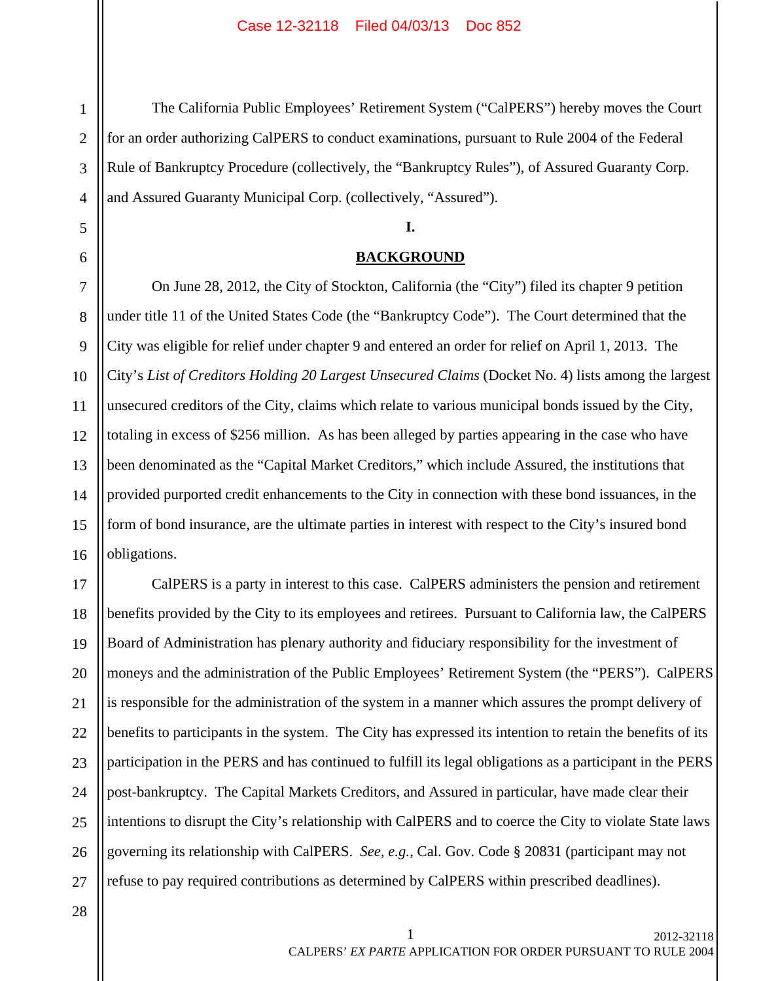The California Public Employees' Retirement System ("CalPERS") hereby moves the Court for an order authorizing CalPERS to conduct examinations, pursuant to Rule 2004 of the Federal Rule of Bankruptcy Procedure (collectively, the "Bankruptcy Rules"), of Assured Guaranty Corp. and Assured Guaranty Municipal Corp. (collectively, "Assured").

## **I.**

# **BACKGROUND**

On June 28, 2012, the City of Stockton, California (the "City") filed its chapter 9 petition under title 11 of the United States Code (the "Bankruptcy Code"). The Court determined that the City was eligible for relief under chapter 9 and entered an order for relief on April 1, 2013. The City's *List of Creditors Holding 20 Largest Unsecured Claims* (Docket No. 4) lists among the largest unsecured creditors of the City, claims which relate to various municipal bonds issued by the City, totaling in excess of \$256 million. As has been alleged by parties appearing in the case who have been denominated as the "Capital Market Creditors," which include Assured, the institutions that provided purported credit enhancements to the City in connection with these bond issuances, in the form of bond insurance, are the ultimate parties in interest with respect to the City's insured bond obligations.

17 18 19 20 21 22 23 24 25 26 27 CalPERS is a party in interest to this case. CalPERS administers the pension and retirement benefits provided by the City to its employees and retirees. Pursuant to California law, the CalPERS Board of Administration has plenary authority and fiduciary responsibility for the investment of moneys and the administration of the Public Employees' Retirement System (the "PERS"). CalPERS is responsible for the administration of the system in a manner which assures the prompt delivery of benefits to participants in the system. The City has expressed its intention to retain the benefits of its participation in the PERS and has continued to fulfill its legal obligations as a participant in the PERS post-bankruptcy. The Capital Markets Creditors, and Assured in particular, have made clear their intentions to disrupt the City's relationship with CalPERS and to coerce the City to violate State laws governing its relationship with CalPERS. *See*, *e.g.*, Cal. Gov. Code § 20831 (participant may not refuse to pay required contributions as determined by CalPERS within prescribed deadlines).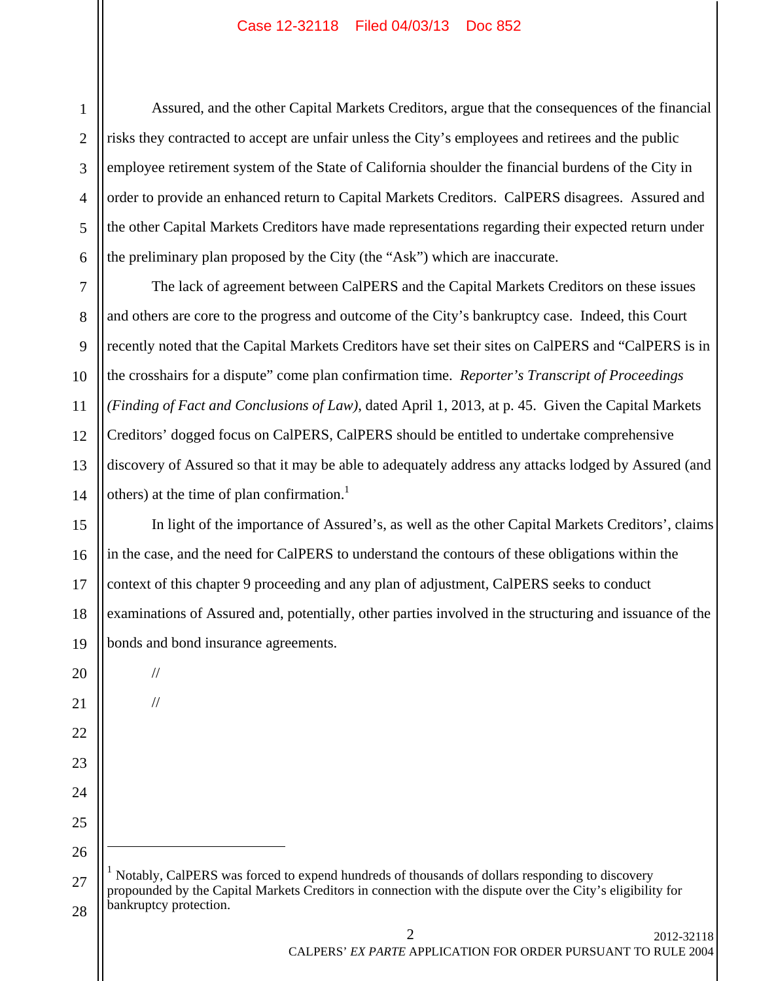6 Assured, and the other Capital Markets Creditors, argue that the consequences of the financial risks they contracted to accept are unfair unless the City's employees and retirees and the public employee retirement system of the State of California shoulder the financial burdens of the City in order to provide an enhanced return to Capital Markets Creditors. CalPERS disagrees. Assured and the other Capital Markets Creditors have made representations regarding their expected return under the preliminary plan proposed by the City (the "Ask") which are inaccurate.

7 8 9 10 11 12 13 14 The lack of agreement between CalPERS and the Capital Markets Creditors on these issues and others are core to the progress and outcome of the City's bankruptcy case. Indeed, this Court recently noted that the Capital Markets Creditors have set their sites on CalPERS and "CalPERS is in the crosshairs for a dispute" come plan confirmation time. *Reporter's Transcript of Proceedings (Finding of Fact and Conclusions of Law)*, dated April 1, 2013, at p. 45. Given the Capital Markets Creditors' dogged focus on CalPERS, CalPERS should be entitled to undertake comprehensive discovery of Assured so that it may be able to adequately address any attacks lodged by Assured (and others) at the time of plan confirmation.<sup>1</sup>

15 16 17 18 19 In light of the importance of Assured's, as well as the other Capital Markets Creditors', claims in the case, and the need for CalPERS to understand the contours of these obligations within the context of this chapter 9 proceeding and any plan of adjustment, CalPERS seeks to conduct examinations of Assured and, potentially, other parties involved in the structuring and issuance of the bonds and bond insurance agreements.

20

21

22

23

24

25

26

 $\overline{a}$ 

1

2

3

4

5

//

//

27 28 <sup>1</sup> Notably, CalPERS was forced to expend hundreds of thousands of dollars responding to discovery propounded by the Capital Markets Creditors in connection with the dispute over the City's eligibility for bankruptcy protection.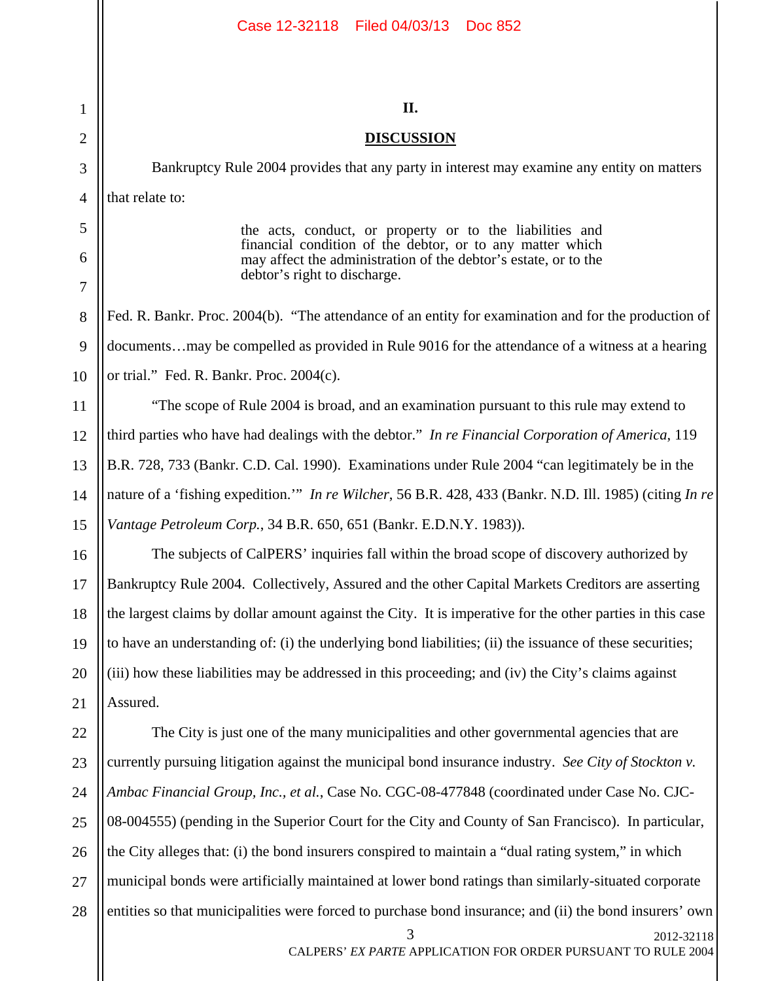| Case 12-32118 Filed 04/03/13 Doc 852                                                                                                                                                                                     |
|--------------------------------------------------------------------------------------------------------------------------------------------------------------------------------------------------------------------------|
|                                                                                                                                                                                                                          |
| II.                                                                                                                                                                                                                      |
| <b>DISCUSSION</b>                                                                                                                                                                                                        |
| Bankruptcy Rule 2004 provides that any party in interest may examine any entity on matters                                                                                                                               |
| that relate to:                                                                                                                                                                                                          |
| the acts, conduct, or property or to the liabilities and<br>financial condition of the debtor, or to any matter which<br>may affect the administration of the debtor's estate, or to the<br>debtor's right to discharge. |
| Fed. R. Bankr. Proc. 2004(b). "The attendance of an entity for examination and for the production of                                                                                                                     |
| documentsmay be compelled as provided in Rule 9016 for the attendance of a witness at a hearing                                                                                                                          |
| or trial." Fed. R. Bankr. Proc. 2004(c).                                                                                                                                                                                 |
| "The scope of Rule 2004 is broad, and an examination pursuant to this rule may extend to                                                                                                                                 |
| third parties who have had dealings with the debtor." In re Financial Corporation of America, 119                                                                                                                        |
| B.R. 728, 733 (Bankr. C.D. Cal. 1990). Examinations under Rule 2004 "can legitimately be in the                                                                                                                          |
| nature of a 'fishing expedition." In re Wilcher, 56 B.R. 428, 433 (Bankr. N.D. Ill. 1985) (citing In re                                                                                                                  |
| Vantage Petroleum Corp., 34 B.R. 650, 651 (Bankr. E.D.N.Y. 1983)).                                                                                                                                                       |
| The subjects of CalPERS' inquiries fall within the broad scope of discovery authorized by                                                                                                                                |
| Bankruptcy Rule 2004. Collectively, Assured and the other Capital Markets Creditors are asserting                                                                                                                        |
| the largest claims by dollar amount against the City. It is imperative for the other parties in this case                                                                                                                |
| to have an understanding of: (i) the underlying bond liabilities; (ii) the issuance of these securities;                                                                                                                 |
| (iii) how these liabilities may be addressed in this proceeding; and (iv) the City's claims against                                                                                                                      |
| Assured.                                                                                                                                                                                                                 |
| The City is just one of the many municipalities and other governmental agencies that are                                                                                                                                 |
| currently pursuing litigation against the municipal bond insurance industry. See City of Stockton v.                                                                                                                     |
| Ambac Financial Group, Inc., et al., Case No. CGC-08-477848 (coordinated under Case No. CJC-                                                                                                                             |
| 08-004555) (pending in the Superior Court for the City and County of San Francisco). In particular,                                                                                                                      |
| the City alleges that: (i) the bond insurers conspired to maintain a "dual rating system," in which                                                                                                                      |
| municipal bonds were artificially maintained at lower bond ratings than similarly-situated corporate                                                                                                                     |
| entities so that municipalities were forced to purchase bond insurance; and (ii) the bond insurers' own<br>3<br>2012-32118<br>CALPERS' EX PARTE APPLICATION FOR ORDER PURSUANT TO RULE 2004                              |
|                                                                                                                                                                                                                          |

1

2

3

4

5

6

7

8

9

10

11

12

13

14

15

16

17

18

19

20

21

22

23

24

25

26

27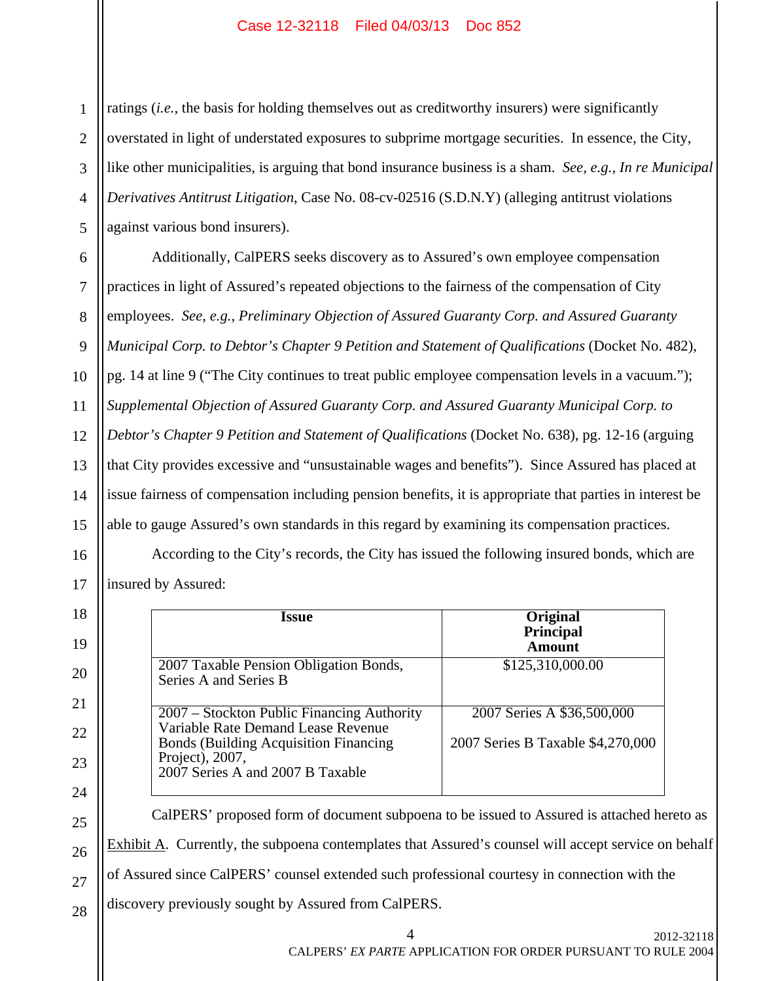1 2 3 4 5 ratings (*i.e.*, the basis for holding themselves out as creditworthy insurers) were significantly overstated in light of understated exposures to subprime mortgage securities. In essence, the City, like other municipalities, is arguing that bond insurance business is a sham. *See, e.g., In re Municipal Derivatives Antitrust Litigation*, Case No. 08-cv-02516 (S.D.N.Y) (alleging antitrust violations against various bond insurers).

6 7 8 9 10 11 12 13 14 15 Additionally, CalPERS seeks discovery as to Assured's own employee compensation practices in light of Assured's repeated objections to the fairness of the compensation of City employees. *See*, *e.g.*, *Preliminary Objection of Assured Guaranty Corp. and Assured Guaranty Municipal Corp. to Debtor's Chapter 9 Petition and Statement of Qualifications* (Docket No. 482), pg. 14 at line 9 ("The City continues to treat public employee compensation levels in a vacuum."); *Supplemental Objection of Assured Guaranty Corp. and Assured Guaranty Municipal Corp. to Debtor's Chapter 9 Petition and Statement of Qualifications* (Docket No. 638), pg. 12-16 (arguing that City provides excessive and "unsustainable wages and benefits"). Since Assured has placed at issue fairness of compensation including pension benefits, it is appropriate that parties in interest be able to gauge Assured's own standards in this regard by examining its compensation practices.

According to the City's records, the City has issued the following insured bonds, which are insured by Assured:

| <i><u><b>Issue</b></u></i>                                                                                                                                                               | Original<br><b>Principal</b><br>Amount                          |  |  |  |  |  |
|------------------------------------------------------------------------------------------------------------------------------------------------------------------------------------------|-----------------------------------------------------------------|--|--|--|--|--|
| 2007 Taxable Pension Obligation Bonds,<br>Series A and Series B                                                                                                                          | \$125,310,000.00                                                |  |  |  |  |  |
| 2007 – Stockton Public Financing Authority<br>Variable Rate Demand Lease Revenue<br><b>Bonds (Building Acquisition Financing)</b><br>Project), 2007,<br>2007 Series A and 2007 B Taxable | 2007 Series A \$36,500,000<br>2007 Series B Taxable \$4,270,000 |  |  |  |  |  |
| CalPERS' proposed form of document subpoena to be issued to Assured is attached hereto as                                                                                                |                                                                 |  |  |  |  |  |
| Exhibit A. Currently, the subpoena contemplates that Assured's counsel will accept service on behalf                                                                                     |                                                                 |  |  |  |  |  |

of Assured since CalPERS' counsel extended such professional courtesy in connection with the

28 discovery previously sought by Assured from CalPERS.

16

17

18

19

20

21

22

23

24

25

26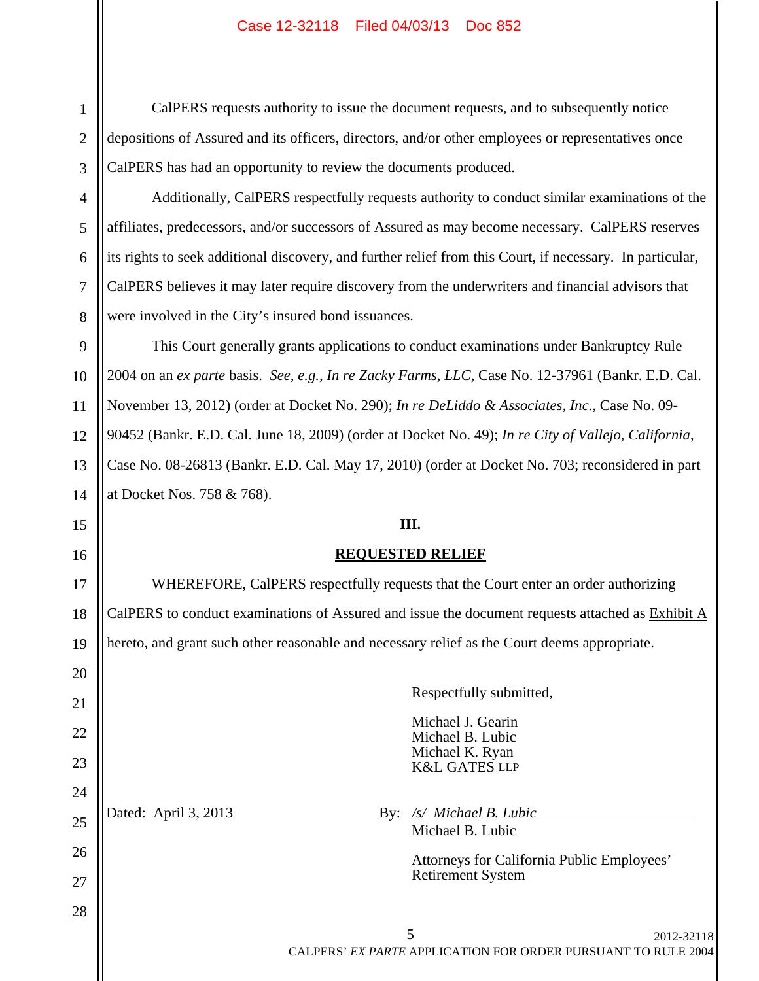1

2

3

4

5

6

7

8

15

16

17

18

19

20

21

22

23

24

25

26

27

28

 CalPERS requests authority to issue the document requests, and to subsequently notice depositions of Assured and its officers, directors, and/or other employees or representatives once CalPERS has had an opportunity to review the documents produced.

Additionally, CalPERS respectfully requests authority to conduct similar examinations of the affiliates, predecessors, and/or successors of Assured as may become necessary. CalPERS reserves its rights to seek additional discovery, and further relief from this Court, if necessary. In particular, CalPERS believes it may later require discovery from the underwriters and financial advisors that were involved in the City's insured bond issuances.

9 10 11 12 13 14 This Court generally grants applications to conduct examinations under Bankruptcy Rule 2004 on an *ex parte* basis. *See, e.g., In re Zacky Farms, LLC*, Case No. 12-37961 (Bankr. E.D. Cal. November 13, 2012) (order at Docket No. 290); *In re DeLiddo & Associates, Inc.*, Case No. 09- 90452 (Bankr. E.D. Cal. June 18, 2009) (order at Docket No. 49); *In re City of Vallejo, California*, Case No. 08-26813 (Bankr. E.D. Cal. May 17, 2010) (order at Docket No. 703; reconsidered in part at Docket Nos. 758 & 768).

# **III.**

# **REQUESTED RELIEF**

 WHEREFORE, CalPERS respectfully requests that the Court enter an order authorizing CalPERS to conduct examinations of Assured and issue the document requests attached as Exhibit A hereto, and grant such other reasonable and necessary relief as the Court deems appropriate.

 Respectfully submitted, Michael J. Gearin Michael B. Lubic Michael K. Ryan K&L GATES LLP Dated: April 3, 2013 **By:** */s/ Michael B. Lubic*  Michael B. Lubic Attorneys for California Public Employees' Retirement System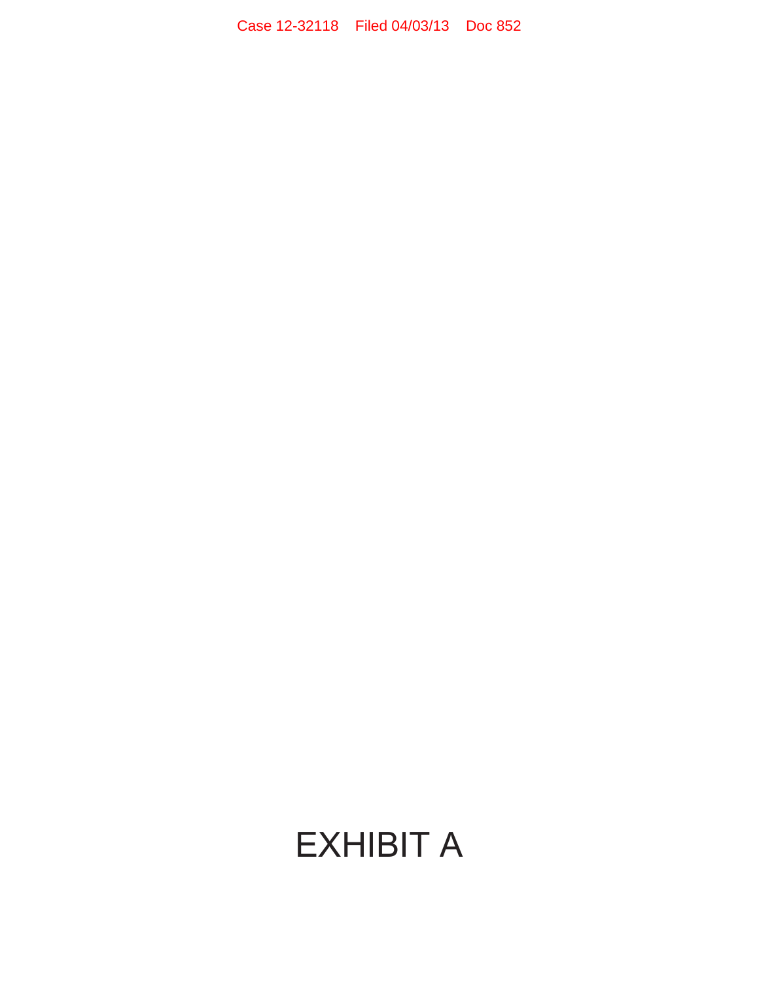# EXHIBIT A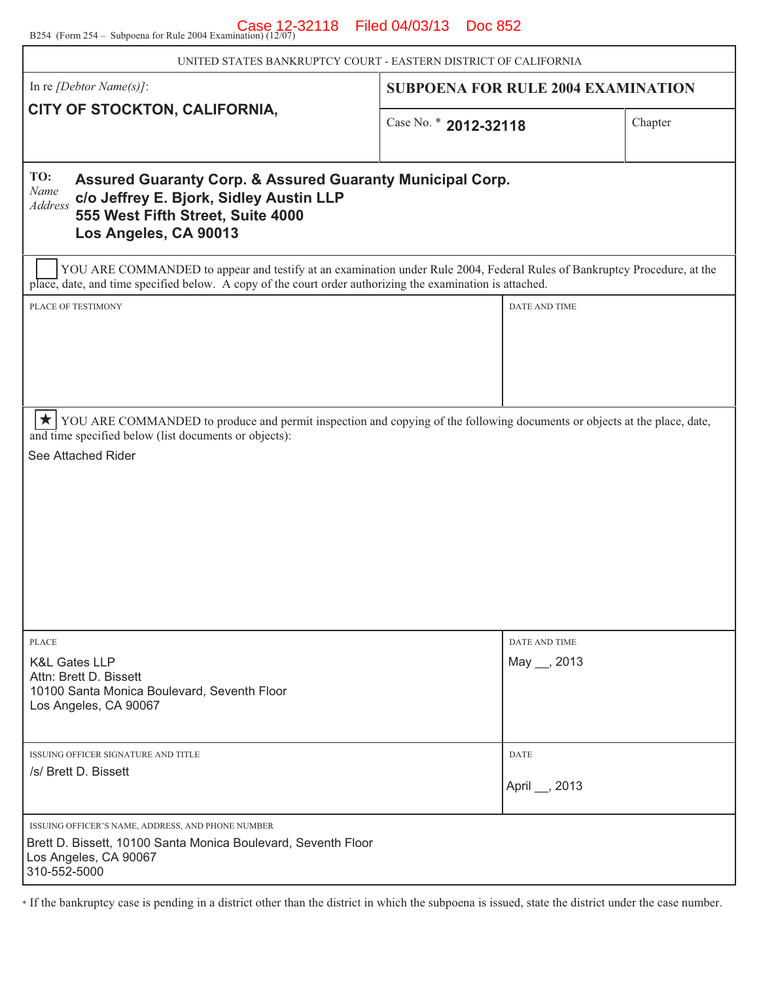B254 (Form 254 – Subpoena for Rule 2004 Examination)  $(12/07)$  Filed 04/03/13 Doc 852

| UNITED STATES BANKRUPTCY COURT - EASTERN DISTRICT OF CALIFORNIA                                                                                                                                                                       |                       |                                           |         |  |  |  |  |
|---------------------------------------------------------------------------------------------------------------------------------------------------------------------------------------------------------------------------------------|-----------------------|-------------------------------------------|---------|--|--|--|--|
| In re [Debtor Name(s)]:                                                                                                                                                                                                               |                       | <b>SUBPOENA FOR RULE 2004 EXAMINATION</b> |         |  |  |  |  |
| CITY OF STOCKTON, CALIFORNIA,                                                                                                                                                                                                         | Case No. * 2012-32118 |                                           | Chapter |  |  |  |  |
| TO:<br>Assured Guaranty Corp. & Assured Guaranty Municipal Corp.<br>Name<br>c/o Jeffrey E. Bjork, Sidley Austin LLP<br><b>Address</b><br>555 West Fifth Street, Suite 4000<br>Los Angeles, CA 90013                                   |                       |                                           |         |  |  |  |  |
| YOU ARE COMMANDED to appear and testify at an examination under Rule 2004, Federal Rules of Bankruptcy Procedure, at the<br>place, date, and time specified below. A copy of the court order authorizing the examination is attached. |                       |                                           |         |  |  |  |  |
| PLACE OF TESTIMONY                                                                                                                                                                                                                    |                       | DATE AND TIME                             |         |  |  |  |  |
|                                                                                                                                                                                                                                       |                       |                                           |         |  |  |  |  |
|                                                                                                                                                                                                                                       |                       |                                           |         |  |  |  |  |
|                                                                                                                                                                                                                                       |                       |                                           |         |  |  |  |  |
| $\star$<br>YOU ARE COMMANDED to produce and permit inspection and copying of the following documents or objects at the place, date,<br>and time specified below (list documents or objects):                                          |                       |                                           |         |  |  |  |  |
| See Attached Rider                                                                                                                                                                                                                    |                       |                                           |         |  |  |  |  |
|                                                                                                                                                                                                                                       |                       |                                           |         |  |  |  |  |
|                                                                                                                                                                                                                                       |                       |                                           |         |  |  |  |  |
|                                                                                                                                                                                                                                       |                       |                                           |         |  |  |  |  |
|                                                                                                                                                                                                                                       |                       |                                           |         |  |  |  |  |
|                                                                                                                                                                                                                                       |                       |                                           |         |  |  |  |  |
| <b>PLACE</b>                                                                                                                                                                                                                          |                       | DATE AND TIME                             |         |  |  |  |  |
| <b>K&amp;L Gates LLP</b><br>Attn: Brett D. Bissett                                                                                                                                                                                    |                       | May __, 2013                              |         |  |  |  |  |
| 10100 Santa Monica Boulevard, Seventh Floor<br>Los Angeles, CA 90067                                                                                                                                                                  |                       |                                           |         |  |  |  |  |
|                                                                                                                                                                                                                                       |                       |                                           |         |  |  |  |  |
| ISSUING OFFICER SIGNATURE AND TITLE                                                                                                                                                                                                   |                       | <b>DATE</b>                               |         |  |  |  |  |
| /s/ Brett D. Bissett                                                                                                                                                                                                                  |                       | April __, 2013                            |         |  |  |  |  |
| ISSUING OFFICER'S NAME, ADDRESS, AND PHONE NUMBER                                                                                                                                                                                     |                       |                                           |         |  |  |  |  |
| Brett D. Bissett, 10100 Santa Monica Boulevard, Seventh Floor<br>Los Angeles, CA 90067<br>310-552-5000                                                                                                                                |                       |                                           |         |  |  |  |  |

\* If the bankruptcy case is pending in a district other than the district in which the subpoena is issued, state the district under the case number.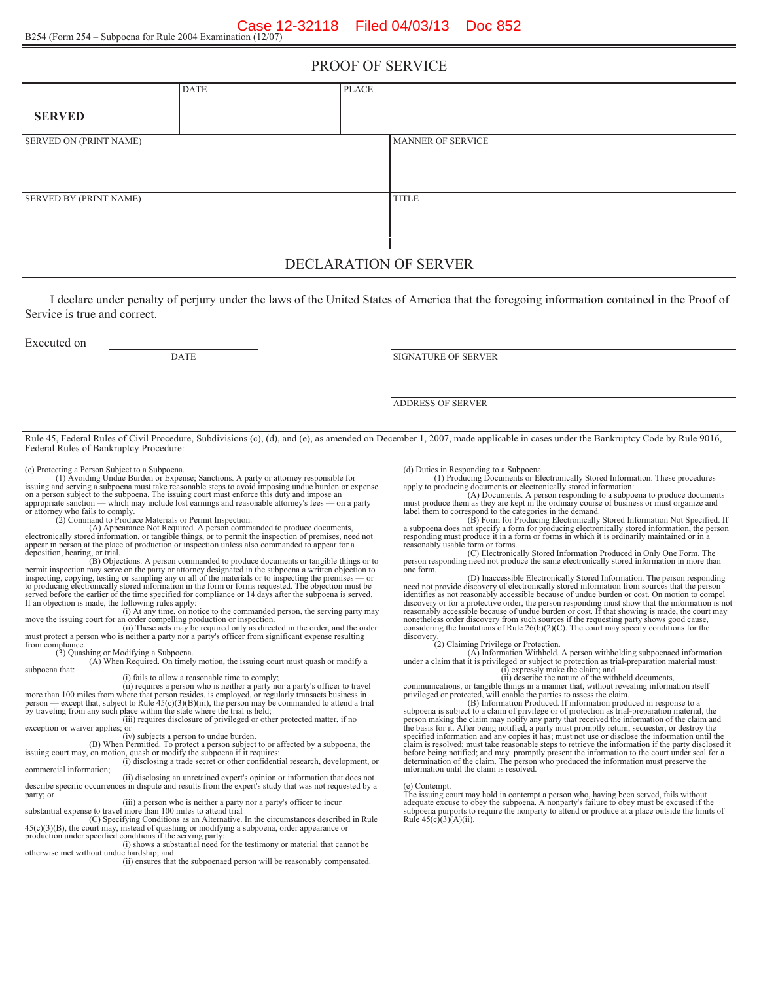#### PROOF OF SERVICE

|                        | <b>DATE</b> | PLACE |                          |
|------------------------|-------------|-------|--------------------------|
| <b>SERVED</b>          |             |       |                          |
| SERVED ON (PRINT NAME) |             |       | <b>MANNER OF SERVICE</b> |
| SERVED BY (PRINT NAME) |             |       | <b>TITLE</b>             |

## DECLARATION OF SERVER

I declare under penalty of perjury under the laws of the United States of America that the foregoing information contained in the Proof of Service is true and correct.

Executed on

DATE SIGNATURE OF SERVER

ADDRESS OF SERVER

Rule 45, Federal Rules of Civil Procedure, Subdivisions (c), (d), and (e), as amended on December 1, 2007, made applicable in cases under the Bankruptcy Code by Rule 9016, Federal Rules of Bankruptcy Procedure:

(c) Protecting a Person Subject to a Subpoena.

(1) Avoiding Undue Burden or Expense; Sanctions. A party or attorney responsible for issuing and serving a subpoena must take reasonable steps to avoid imposing undue burden or expense on a person subject to the subpoena. The issuing court must enforce this duty and impose an appropriate sanction — which may include lost earnings and reasonable attorney's fees — on a party or attorney who fails to comply

(A) Appearance Not Required. A person commanded to produce documents, electronically stored information, or tangible things, or to permit the inspection of premises, need not appear in person at the place of production or inspection unless also commanded to appear for a deposition, hearing, or trial.

(B) Objections. A person commanded to produce documents or tangible things or to permit inspection may serve on the party or attorney designated in the subpoena a written objection to inspecting, copying, testing or sampling any or all of the materials or to inspecting the premises — or to producing electronically stored information in the form or forms requested. The objection must be served before the earlier of the time specified for compliance or 14 days after the subpoena is served.<br>If an objection is made, the following rules apply:<br>(i) At any time, on notice to the commanded person, the serving pa

move the issuing court for an order compelling production or inspection.<br>(ii) These acts may be required only as directed in the order, and the order

must protect a person who is neither a party nor a party's officer from significant expense resulting from compliance.

(3) Quashing or Modifying a Subpoena. (A) When Required. On timely motion, the issuing court must quash or modify a subpoena that:

(i) fails to allow a reasonable time to comply;

(ii) requires a person who is neither a party nor a party's officer to travel more than 100 miles from where that person resides, is employed, or regularly transacts business in person — except that, subject to Rule 45(c)(3)(B)(iii), the person may be commanded to attend a trial

by traveling from any such place within the state where the trial is held;<br>
(iii) requires disclosure of privileged or other protected matter, if no<br>
exception or waiver applies; or exception or waiver applies; or<br>(iv) subjects a person to undue burden.

(B) When Permitted. To protect a person subject to or affected by a subpoena, the<br>issuing court may, on motion, quash or modify the subpoena if it requires:<br>(i) disclosing a trade secret or other confidential research, dev

commercial information;

(ii) disclosing an unretained expert's opinion or information that does not describe specific occurrences in dispute and results from the expert's study that was not requested by a party; or

(iii) a person who is neither a party nor a party's officer to incur substantial expense to travel more than 100 miles to attend trial

(C) Specifying Conditions as an Alternative. In the circumstances described in Rule 45(c)(3)(B), the court may, instead of quashing or modifying a subpoena, order appearance or

production under specified conditions if the serving party:<br>(i) shows a substantial need for the testimony or material that cannot be otherwise met without undue hardship; and

(ii) ensures that the subpoenaed person will be reasonably compensated.

(d) Duties in Responding to a Subpoena. (1) Producing Documents or Electronically Stored Information. These procedures apply to producing documents or electronically stored information:

(A) Documents. A person responding to a subpoena to produce documents must produce them as they are kept in the ordinary course of business or must organize and

label them to correspond to the categories in the demand. (B) Form for Producing Electronically Stored Information Not Specified. If a subpoena does not specify a form for producing electronically stored information, the person responding must produce it in a form or forms in which it is ordinarily maintained or in a reasonably usable form or forms.

(C) Electronically Stored Information Produced in Only One Form. The person responding need not produce the same electronically stored information in more than one form.

(D) Inaccessible Electronically Stored Information. The person responding need not provide discovery of electronically stored information from sources that the person identifies as not reasonably accessible because of undue burden or cost. On motion to compel discovery or for a protective order, the person responding must show that the information is not reasonably accessible because of undue burden or cost. If that showing is made, the court may nonetheless order discovery from such sources if the requesting party shows good cause, considering the limitations of Rule 26(b)(2)(C). The court may specify conditions for the

discovery. (2) Claiming Privilege or Protection.

(A) Information Withheld. A person withholding subpoenaed information under a claim that it is privileged or subject to protection as trial-preparation material must: (i) expressly make the claim; and

(ii) describe the nature of the withheld documents,

communications, or tangible things in a manner that, without revealing information itself privileged or protected, will enable the parties to assess the claim. (B) Information Produced. If information produced in response to a

subpoena is subject to a claim of privilege or of protection as trial-preparation material, the<br>person making the claim may notify any party that received the information of the claim and<br>the basis for it. After being noti determination of the claim. The person who produced the information must preserve the information until the claim is resolved.

(e) Contempt.

The issuing court may hold in contempt a person who, having been served, fails without adequate excuse to obey the subpoena. A nonparty's failure to obey must be excused if the subpoena purports to require the nonparty to attend or produce at a place outside the limits of Rule  $45(c)(3)(A)(ii)$ .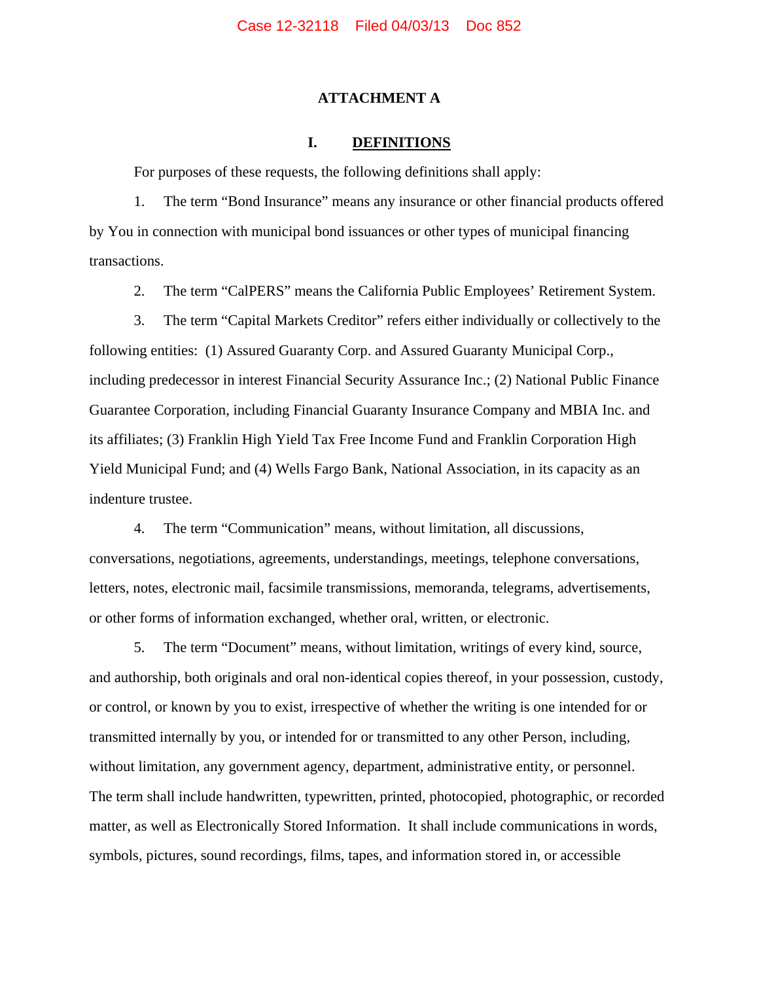#### **ATTACHMENT A**

#### **I. DEFINITIONS**

For purposes of these requests, the following definitions shall apply:

1. The term "Bond Insurance" means any insurance or other financial products offered by You in connection with municipal bond issuances or other types of municipal financing transactions.

2. The term "CalPERS" means the California Public Employees' Retirement System.

3. The term "Capital Markets Creditor" refers either individually or collectively to the following entities: (1) Assured Guaranty Corp. and Assured Guaranty Municipal Corp., including predecessor in interest Financial Security Assurance Inc.; (2) National Public Finance Guarantee Corporation, including Financial Guaranty Insurance Company and MBIA Inc. and its affiliates; (3) Franklin High Yield Tax Free Income Fund and Franklin Corporation High Yield Municipal Fund; and (4) Wells Fargo Bank, National Association, in its capacity as an indenture trustee.

4. The term "Communication" means, without limitation, all discussions, conversations, negotiations, agreements, understandings, meetings, telephone conversations, letters, notes, electronic mail, facsimile transmissions, memoranda, telegrams, advertisements, or other forms of information exchanged, whether oral, written, or electronic.

5. The term "Document" means, without limitation, writings of every kind, source, and authorship, both originals and oral non-identical copies thereof, in your possession, custody, or control, or known by you to exist, irrespective of whether the writing is one intended for or transmitted internally by you, or intended for or transmitted to any other Person, including, without limitation, any government agency, department, administrative entity, or personnel. The term shall include handwritten, typewritten, printed, photocopied, photographic, or recorded matter, as well as Electronically Stored Information. It shall include communications in words, symbols, pictures, sound recordings, films, tapes, and information stored in, or accessible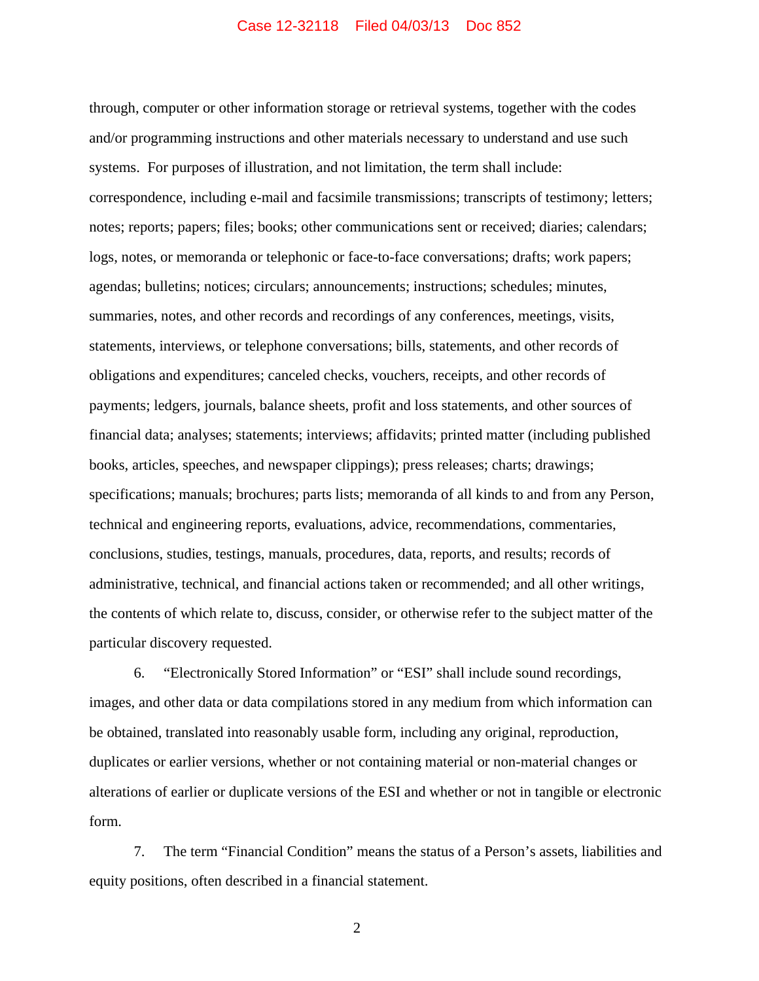through, computer or other information storage or retrieval systems, together with the codes and/or programming instructions and other materials necessary to understand and use such systems. For purposes of illustration, and not limitation, the term shall include: correspondence, including e-mail and facsimile transmissions; transcripts of testimony; letters; notes; reports; papers; files; books; other communications sent or received; diaries; calendars; logs, notes, or memoranda or telephonic or face-to-face conversations; drafts; work papers; agendas; bulletins; notices; circulars; announcements; instructions; schedules; minutes, summaries, notes, and other records and recordings of any conferences, meetings, visits, statements, interviews, or telephone conversations; bills, statements, and other records of obligations and expenditures; canceled checks, vouchers, receipts, and other records of payments; ledgers, journals, balance sheets, profit and loss statements, and other sources of financial data; analyses; statements; interviews; affidavits; printed matter (including published books, articles, speeches, and newspaper clippings); press releases; charts; drawings; specifications; manuals; brochures; parts lists; memoranda of all kinds to and from any Person, technical and engineering reports, evaluations, advice, recommendations, commentaries, conclusions, studies, testings, manuals, procedures, data, reports, and results; records of administrative, technical, and financial actions taken or recommended; and all other writings, the contents of which relate to, discuss, consider, or otherwise refer to the subject matter of the particular discovery requested.

6. "Electronically Stored Information" or "ESI" shall include sound recordings, images, and other data or data compilations stored in any medium from which information can be obtained, translated into reasonably usable form, including any original, reproduction, duplicates or earlier versions, whether or not containing material or non-material changes or alterations of earlier or duplicate versions of the ESI and whether or not in tangible or electronic form.

7. The term "Financial Condition" means the status of a Person's assets, liabilities and equity positions, often described in a financial statement.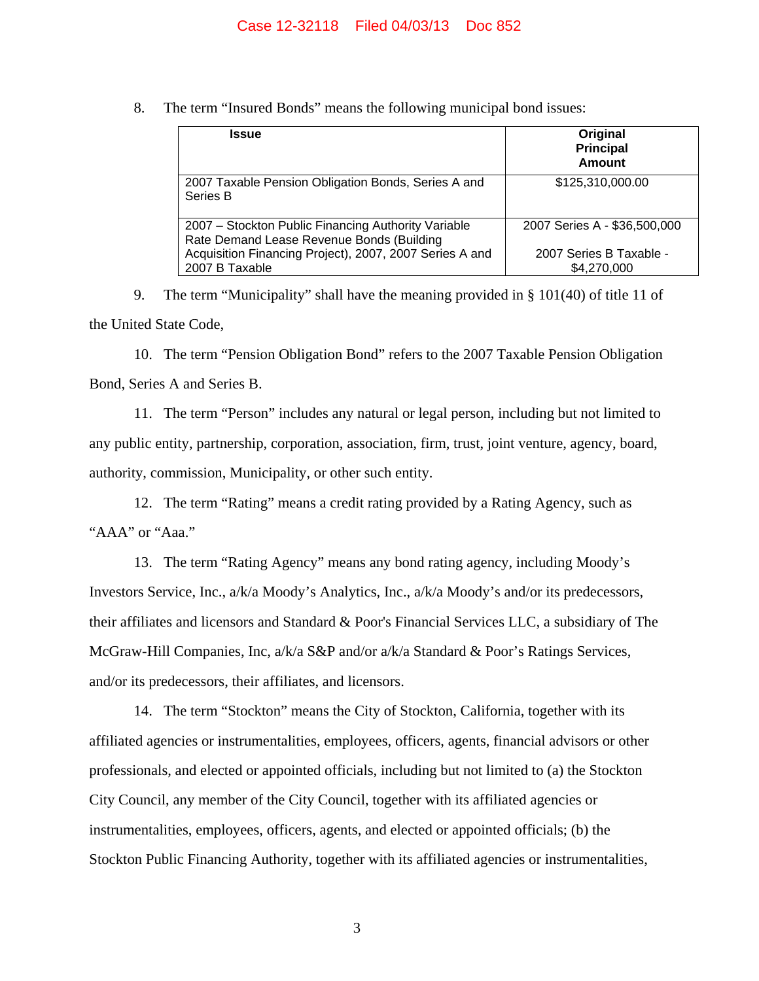8. The term "Insured Bonds" means the following municipal bond issues:

| <b>Issue</b>                                                                                     | Original<br><b>Principal</b><br><b>Amount</b> |
|--------------------------------------------------------------------------------------------------|-----------------------------------------------|
| 2007 Taxable Pension Obligation Bonds, Series A and<br>Series B                                  | \$125,310,000.00                              |
| 2007 – Stockton Public Financing Authority Variable<br>Rate Demand Lease Revenue Bonds (Building | 2007 Series A - \$36,500,000                  |
| Acquisition Financing Project), 2007, 2007 Series A and<br>2007 B Taxable                        | 2007 Series B Taxable -<br>\$4,270,000        |

9. The term "Municipality" shall have the meaning provided in § 101(40) of title 11 of the United State Code,

10. The term "Pension Obligation Bond" refers to the 2007 Taxable Pension Obligation Bond, Series A and Series B.

11. The term "Person" includes any natural or legal person, including but not limited to any public entity, partnership, corporation, association, firm, trust, joint venture, agency, board, authority, commission, Municipality, or other such entity.

12. The term "Rating" means a credit rating provided by a Rating Agency, such as "AAA" or "Aaa."

13. The term "Rating Agency" means any bond rating agency, including Moody's Investors Service, Inc., a/k/a Moody's Analytics, Inc., a/k/a Moody's and/or its predecessors, their affiliates and licensors and Standard & Poor's Financial Services LLC, a subsidiary of The McGraw-Hill Companies, Inc, a/k/a S&P and/or a/k/a Standard & Poor's Ratings Services, and/or its predecessors, their affiliates, and licensors.

14. The term "Stockton" means the City of Stockton, California, together with its affiliated agencies or instrumentalities, employees, officers, agents, financial advisors or other professionals, and elected or appointed officials, including but not limited to (a) the Stockton City Council, any member of the City Council, together with its affiliated agencies or instrumentalities, employees, officers, agents, and elected or appointed officials; (b) the Stockton Public Financing Authority, together with its affiliated agencies or instrumentalities,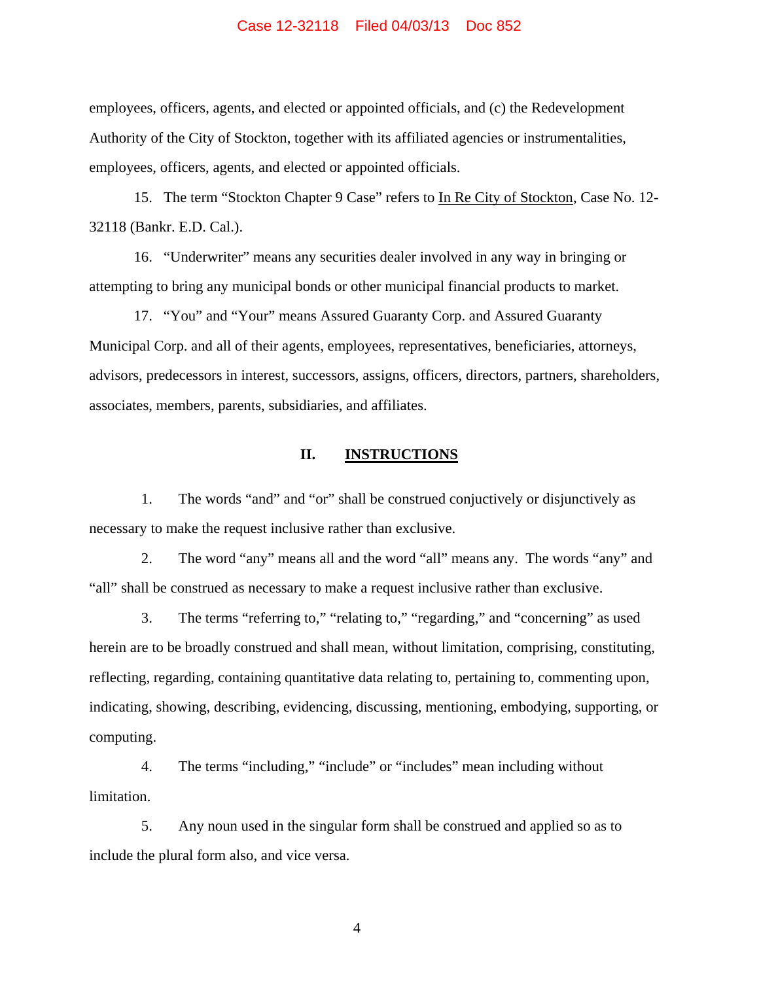employees, officers, agents, and elected or appointed officials, and (c) the Redevelopment Authority of the City of Stockton, together with its affiliated agencies or instrumentalities, employees, officers, agents, and elected or appointed officials.

15. The term "Stockton Chapter 9 Case" refers to In Re City of Stockton, Case No. 12- 32118 (Bankr. E.D. Cal.).

16. "Underwriter" means any securities dealer involved in any way in bringing or attempting to bring any municipal bonds or other municipal financial products to market.

17. "You" and "Your" means Assured Guaranty Corp. and Assured Guaranty Municipal Corp. and all of their agents, employees, representatives, beneficiaries, attorneys, advisors, predecessors in interest, successors, assigns, officers, directors, partners, shareholders, associates, members, parents, subsidiaries, and affiliates.

## **II. INSTRUCTIONS**

1. The words "and" and "or" shall be construed conjuctively or disjunctively as necessary to make the request inclusive rather than exclusive.

2. The word "any" means all and the word "all" means any. The words "any" and "all" shall be construed as necessary to make a request inclusive rather than exclusive.

3. The terms "referring to," "relating to," "regarding," and "concerning" as used herein are to be broadly construed and shall mean, without limitation, comprising, constituting, reflecting, regarding, containing quantitative data relating to, pertaining to, commenting upon, indicating, showing, describing, evidencing, discussing, mentioning, embodying, supporting, or computing.

4. The terms "including," "include" or "includes" mean including without limitation.

5. Any noun used in the singular form shall be construed and applied so as to include the plural form also, and vice versa.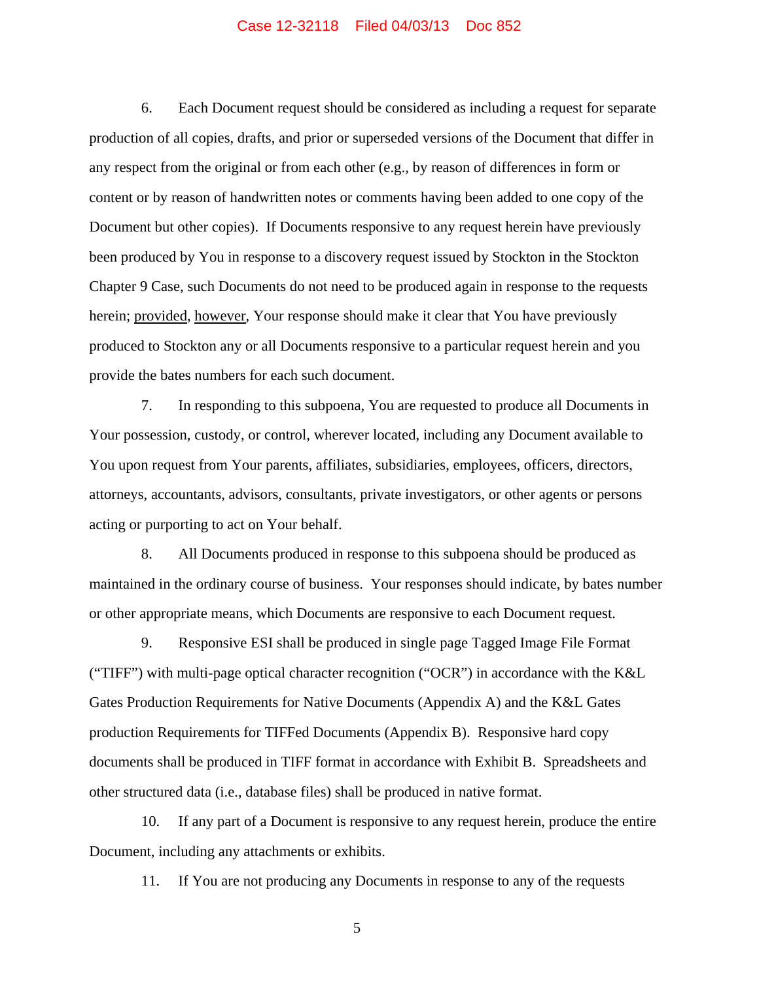6. Each Document request should be considered as including a request for separate production of all copies, drafts, and prior or superseded versions of the Document that differ in any respect from the original or from each other (e.g., by reason of differences in form or content or by reason of handwritten notes or comments having been added to one copy of the Document but other copies). If Documents responsive to any request herein have previously been produced by You in response to a discovery request issued by Stockton in the Stockton Chapter 9 Case, such Documents do not need to be produced again in response to the requests herein; provided, however, Your response should make it clear that You have previously produced to Stockton any or all Documents responsive to a particular request herein and you provide the bates numbers for each such document.

7. In responding to this subpoena, You are requested to produce all Documents in Your possession, custody, or control, wherever located, including any Document available to You upon request from Your parents, affiliates, subsidiaries, employees, officers, directors, attorneys, accountants, advisors, consultants, private investigators, or other agents or persons acting or purporting to act on Your behalf.

8. All Documents produced in response to this subpoena should be produced as maintained in the ordinary course of business. Your responses should indicate, by bates number or other appropriate means, which Documents are responsive to each Document request.

9. Responsive ESI shall be produced in single page Tagged Image File Format ("TIFF") with multi-page optical character recognition ("OCR") in accordance with the K&L Gates Production Requirements for Native Documents (Appendix A) and the K&L Gates production Requirements for TIFFed Documents (Appendix B). Responsive hard copy documents shall be produced in TIFF format in accordance with Exhibit B. Spreadsheets and other structured data (i.e., database files) shall be produced in native format.

10. If any part of a Document is responsive to any request herein, produce the entire Document, including any attachments or exhibits.

11. If You are not producing any Documents in response to any of the requests

 $\overline{5}$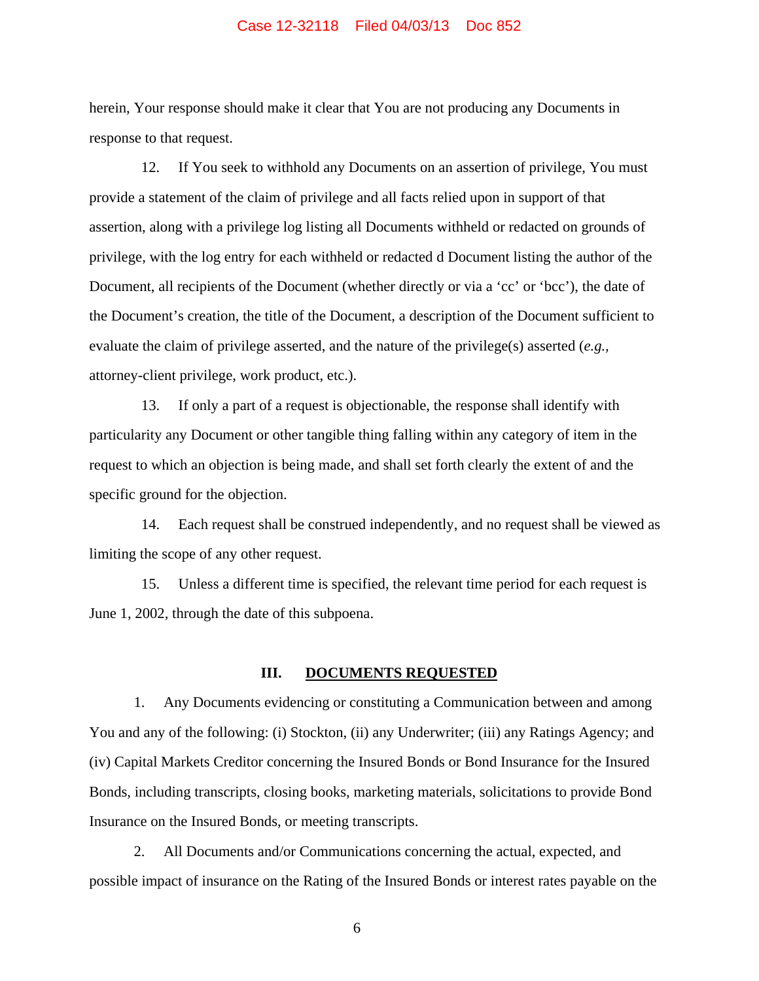herein, Your response should make it clear that You are not producing any Documents in response to that request.

12. If You seek to withhold any Documents on an assertion of privilege, You must provide a statement of the claim of privilege and all facts relied upon in support of that assertion, along with a privilege log listing all Documents withheld or redacted on grounds of privilege, with the log entry for each withheld or redacted d Document listing the author of the Document, all recipients of the Document (whether directly or via a 'cc' or 'bcc'), the date of the Document's creation, the title of the Document, a description of the Document sufficient to evaluate the claim of privilege asserted, and the nature of the privilege(s) asserted (*e.g.,* attorney-client privilege, work product, etc.).

13. If only a part of a request is objectionable, the response shall identify with particularity any Document or other tangible thing falling within any category of item in the request to which an objection is being made, and shall set forth clearly the extent of and the specific ground for the objection.

14. Each request shall be construed independently, and no request shall be viewed as limiting the scope of any other request.

15. Unless a different time is specified, the relevant time period for each request is June 1, 2002, through the date of this subpoena.

#### **III. DOCUMENTS REQUESTED**

1. Any Documents evidencing or constituting a Communication between and among You and any of the following: (i) Stockton, (ii) any Underwriter; (iii) any Ratings Agency; and (iv) Capital Markets Creditor concerning the Insured Bonds or Bond Insurance for the Insured Bonds, including transcripts, closing books, marketing materials, solicitations to provide Bond Insurance on the Insured Bonds, or meeting transcripts.

2. All Documents and/or Communications concerning the actual, expected, and possible impact of insurance on the Rating of the Insured Bonds or interest rates payable on the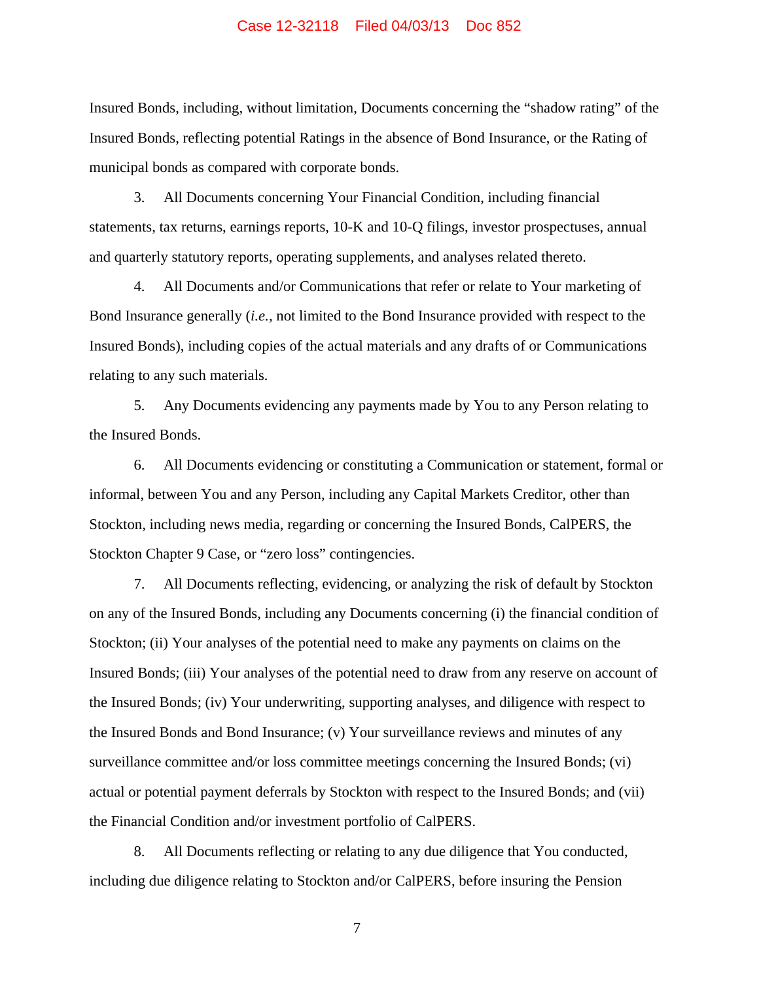Insured Bonds, including, without limitation, Documents concerning the "shadow rating" of the Insured Bonds, reflecting potential Ratings in the absence of Bond Insurance, or the Rating of municipal bonds as compared with corporate bonds.

3. All Documents concerning Your Financial Condition, including financial statements, tax returns, earnings reports, 10-K and 10-Q filings, investor prospectuses, annual and quarterly statutory reports, operating supplements, and analyses related thereto.

4. All Documents and/or Communications that refer or relate to Your marketing of Bond Insurance generally (*i.e.,* not limited to the Bond Insurance provided with respect to the Insured Bonds), including copies of the actual materials and any drafts of or Communications relating to any such materials.

5. Any Documents evidencing any payments made by You to any Person relating to the Insured Bonds.

6. All Documents evidencing or constituting a Communication or statement, formal or informal, between You and any Person, including any Capital Markets Creditor, other than Stockton, including news media, regarding or concerning the Insured Bonds, CalPERS, the Stockton Chapter 9 Case, or "zero loss" contingencies.

7. All Documents reflecting, evidencing, or analyzing the risk of default by Stockton on any of the Insured Bonds, including any Documents concerning (i) the financial condition of Stockton; (ii) Your analyses of the potential need to make any payments on claims on the Insured Bonds; (iii) Your analyses of the potential need to draw from any reserve on account of the Insured Bonds; (iv) Your underwriting, supporting analyses, and diligence with respect to the Insured Bonds and Bond Insurance; (v) Your surveillance reviews and minutes of any surveillance committee and/or loss committee meetings concerning the Insured Bonds; (vi) actual or potential payment deferrals by Stockton with respect to the Insured Bonds; and (vii) the Financial Condition and/or investment portfolio of CalPERS.

8. All Documents reflecting or relating to any due diligence that You conducted, including due diligence relating to Stockton and/or CalPERS, before insuring the Pension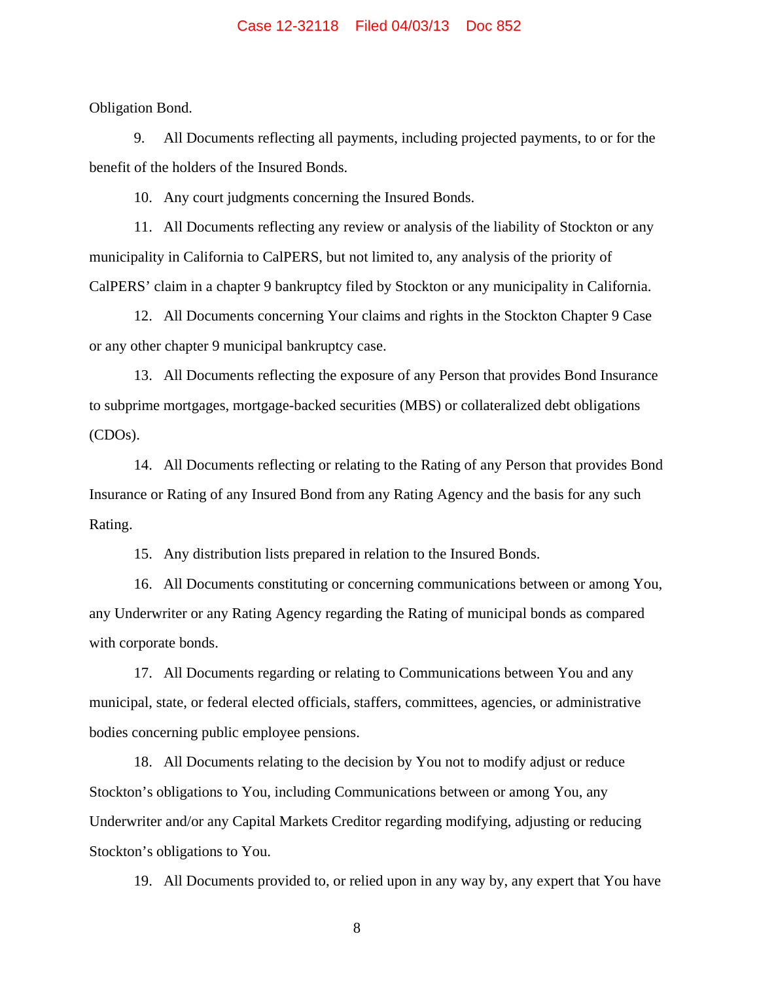Obligation Bond.

9. All Documents reflecting all payments, including projected payments, to or for the benefit of the holders of the Insured Bonds.

10. Any court judgments concerning the Insured Bonds.

11. All Documents reflecting any review or analysis of the liability of Stockton or any municipality in California to CalPERS, but not limited to, any analysis of the priority of CalPERS' claim in a chapter 9 bankruptcy filed by Stockton or any municipality in California.

12. All Documents concerning Your claims and rights in the Stockton Chapter 9 Case or any other chapter 9 municipal bankruptcy case.

13. All Documents reflecting the exposure of any Person that provides Bond Insurance to subprime mortgages, mortgage-backed securities (MBS) or collateralized debt obligations (CDOs).

14. All Documents reflecting or relating to the Rating of any Person that provides Bond Insurance or Rating of any Insured Bond from any Rating Agency and the basis for any such Rating.

15. Any distribution lists prepared in relation to the Insured Bonds.

16. All Documents constituting or concerning communications between or among You, any Underwriter or any Rating Agency regarding the Rating of municipal bonds as compared with corporate bonds.

17. All Documents regarding or relating to Communications between You and any municipal, state, or federal elected officials, staffers, committees, agencies, or administrative bodies concerning public employee pensions.

18. All Documents relating to the decision by You not to modify adjust or reduce Stockton's obligations to You, including Communications between or among You, any Underwriter and/or any Capital Markets Creditor regarding modifying, adjusting or reducing Stockton's obligations to You.

19. All Documents provided to, or relied upon in any way by, any expert that You have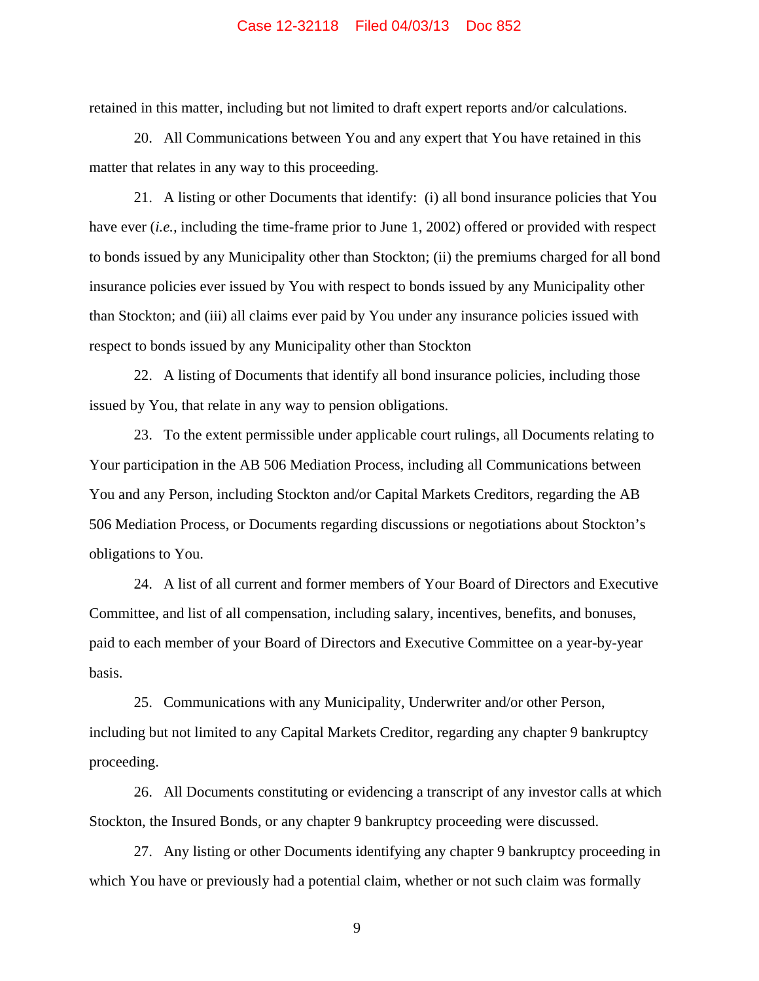retained in this matter, including but not limited to draft expert reports and/or calculations.

20. All Communications between You and any expert that You have retained in this matter that relates in any way to this proceeding.

21. A listing or other Documents that identify: (i) all bond insurance policies that You have ever (*i.e.,* including the time-frame prior to June 1, 2002) offered or provided with respect to bonds issued by any Municipality other than Stockton; (ii) the premiums charged for all bond insurance policies ever issued by You with respect to bonds issued by any Municipality other than Stockton; and (iii) all claims ever paid by You under any insurance policies issued with respect to bonds issued by any Municipality other than Stockton

22. A listing of Documents that identify all bond insurance policies, including those issued by You, that relate in any way to pension obligations.

23. To the extent permissible under applicable court rulings, all Documents relating to Your participation in the AB 506 Mediation Process, including all Communications between You and any Person, including Stockton and/or Capital Markets Creditors, regarding the AB 506 Mediation Process, or Documents regarding discussions or negotiations about Stockton's obligations to You.

24. A list of all current and former members of Your Board of Directors and Executive Committee, and list of all compensation, including salary, incentives, benefits, and bonuses, paid to each member of your Board of Directors and Executive Committee on a year-by-year basis.

25. Communications with any Municipality, Underwriter and/or other Person, including but not limited to any Capital Markets Creditor, regarding any chapter 9 bankruptcy proceeding.

26. All Documents constituting or evidencing a transcript of any investor calls at which Stockton, the Insured Bonds, or any chapter 9 bankruptcy proceeding were discussed.

27. Any listing or other Documents identifying any chapter 9 bankruptcy proceeding in which You have or previously had a potential claim, whether or not such claim was formally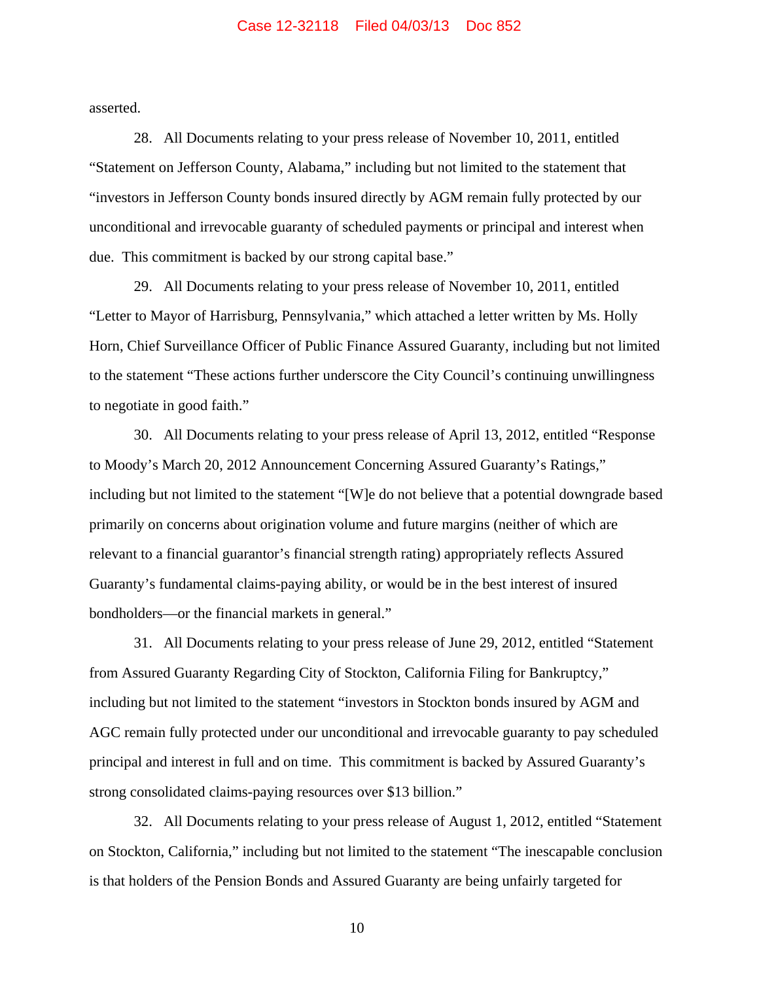asserted.

28. All Documents relating to your press release of November 10, 2011, entitled "Statement on Jefferson County, Alabama," including but not limited to the statement that "investors in Jefferson County bonds insured directly by AGM remain fully protected by our unconditional and irrevocable guaranty of scheduled payments or principal and interest when due. This commitment is backed by our strong capital base."

29. All Documents relating to your press release of November 10, 2011, entitled "Letter to Mayor of Harrisburg, Pennsylvania," which attached a letter written by Ms. Holly Horn, Chief Surveillance Officer of Public Finance Assured Guaranty, including but not limited to the statement "These actions further underscore the City Council's continuing unwillingness to negotiate in good faith."

30. All Documents relating to your press release of April 13, 2012, entitled "Response to Moody's March 20, 2012 Announcement Concerning Assured Guaranty's Ratings," including but not limited to the statement "[W]e do not believe that a potential downgrade based primarily on concerns about origination volume and future margins (neither of which are relevant to a financial guarantor's financial strength rating) appropriately reflects Assured Guaranty's fundamental claims-paying ability, or would be in the best interest of insured bondholders—or the financial markets in general."

31. All Documents relating to your press release of June 29, 2012, entitled "Statement from Assured Guaranty Regarding City of Stockton, California Filing for Bankruptcy," including but not limited to the statement "investors in Stockton bonds insured by AGM and AGC remain fully protected under our unconditional and irrevocable guaranty to pay scheduled principal and interest in full and on time. This commitment is backed by Assured Guaranty's strong consolidated claims-paying resources over \$13 billion."

32. All Documents relating to your press release of August 1, 2012, entitled "Statement on Stockton, California," including but not limited to the statement "The inescapable conclusion is that holders of the Pension Bonds and Assured Guaranty are being unfairly targeted for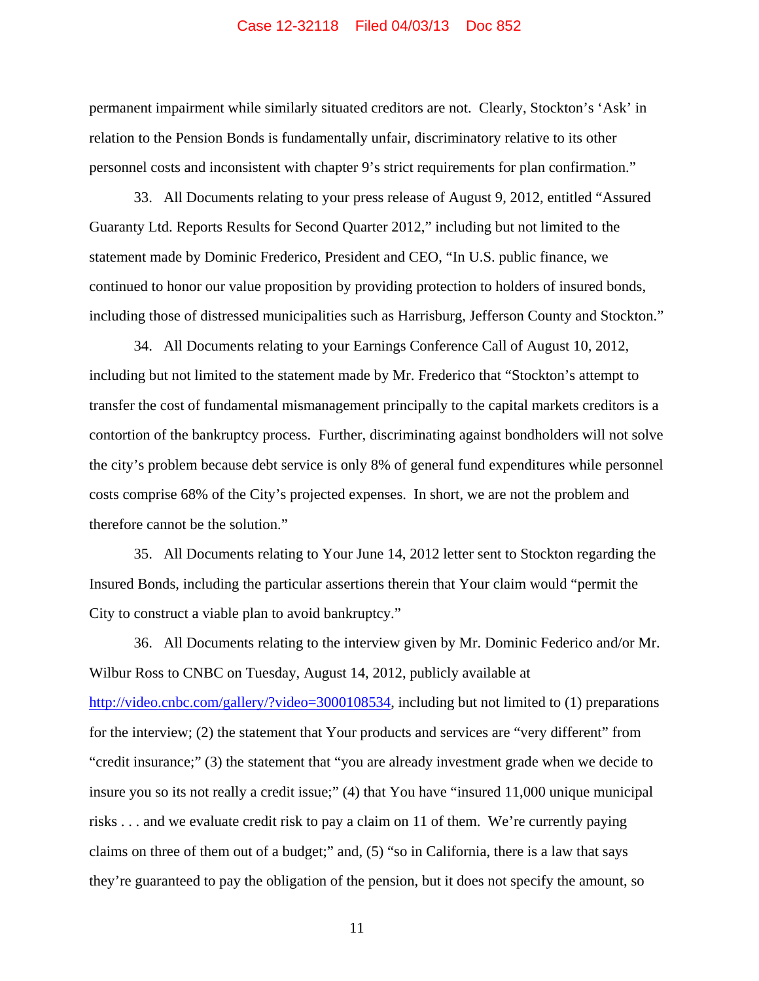permanent impairment while similarly situated creditors are not. Clearly, Stockton's 'Ask' in relation to the Pension Bonds is fundamentally unfair, discriminatory relative to its other personnel costs and inconsistent with chapter 9's strict requirements for plan confirmation."

33. All Documents relating to your press release of August 9, 2012, entitled "Assured Guaranty Ltd. Reports Results for Second Quarter 2012," including but not limited to the statement made by Dominic Frederico, President and CEO, "In U.S. public finance, we continued to honor our value proposition by providing protection to holders of insured bonds, including those of distressed municipalities such as Harrisburg, Jefferson County and Stockton."

34. All Documents relating to your Earnings Conference Call of August 10, 2012, including but not limited to the statement made by Mr. Frederico that "Stockton's attempt to transfer the cost of fundamental mismanagement principally to the capital markets creditors is a contortion of the bankruptcy process. Further, discriminating against bondholders will not solve the city's problem because debt service is only 8% of general fund expenditures while personnel costs comprise 68% of the City's projected expenses. In short, we are not the problem and therefore cannot be the solution."

35. All Documents relating to Your June 14, 2012 letter sent to Stockton regarding the Insured Bonds, including the particular assertions therein that Your claim would "permit the City to construct a viable plan to avoid bankruptcy."

36. All Documents relating to the interview given by Mr. Dominic Federico and/or Mr. Wilbur Ross to CNBC on Tuesday, August 14, 2012, publicly available at http://video.cnbc.com/gallery/?video=3000108534, including but not limited to (1) preparations for the interview; (2) the statement that Your products and services are "very different" from "credit insurance;" (3) the statement that "you are already investment grade when we decide to insure you so its not really a credit issue;" (4) that You have "insured 11,000 unique municipal risks . . . and we evaluate credit risk to pay a claim on 11 of them. We're currently paying claims on three of them out of a budget;" and, (5) "so in California, there is a law that says they're guaranteed to pay the obligation of the pension, but it does not specify the amount, so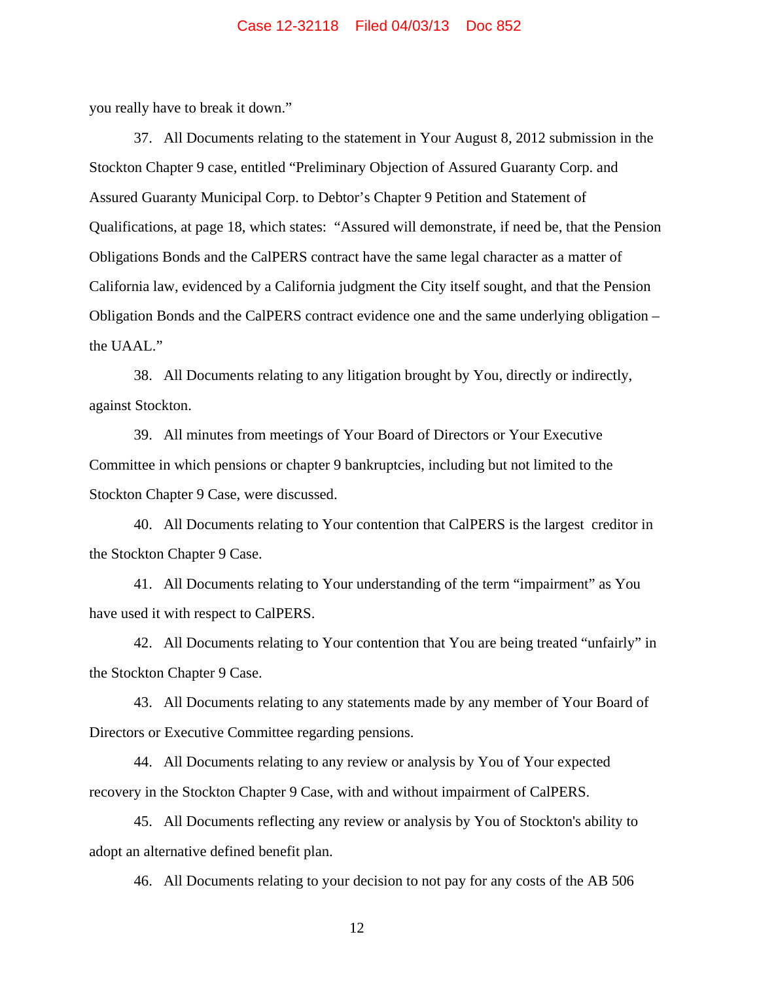you really have to break it down."

37. All Documents relating to the statement in Your August 8, 2012 submission in the Stockton Chapter 9 case, entitled "Preliminary Objection of Assured Guaranty Corp. and Assured Guaranty Municipal Corp. to Debtor's Chapter 9 Petition and Statement of Qualifications, at page 18, which states: "Assured will demonstrate, if need be, that the Pension Obligations Bonds and the CalPERS contract have the same legal character as a matter of California law, evidenced by a California judgment the City itself sought, and that the Pension Obligation Bonds and the CalPERS contract evidence one and the same underlying obligation – the UAAL."

38. All Documents relating to any litigation brought by You, directly or indirectly, against Stockton.

39. All minutes from meetings of Your Board of Directors or Your Executive Committee in which pensions or chapter 9 bankruptcies, including but not limited to the Stockton Chapter 9 Case, were discussed.

40. All Documents relating to Your contention that CalPERS is the largest creditor in the Stockton Chapter 9 Case.

41. All Documents relating to Your understanding of the term "impairment" as You have used it with respect to CalPERS.

42. All Documents relating to Your contention that You are being treated "unfairly" in the Stockton Chapter 9 Case.

43. All Documents relating to any statements made by any member of Your Board of Directors or Executive Committee regarding pensions.

44. All Documents relating to any review or analysis by You of Your expected recovery in the Stockton Chapter 9 Case, with and without impairment of CalPERS.

45. All Documents reflecting any review or analysis by You of Stockton's ability to adopt an alternative defined benefit plan.

46. All Documents relating to your decision to not pay for any costs of the AB 506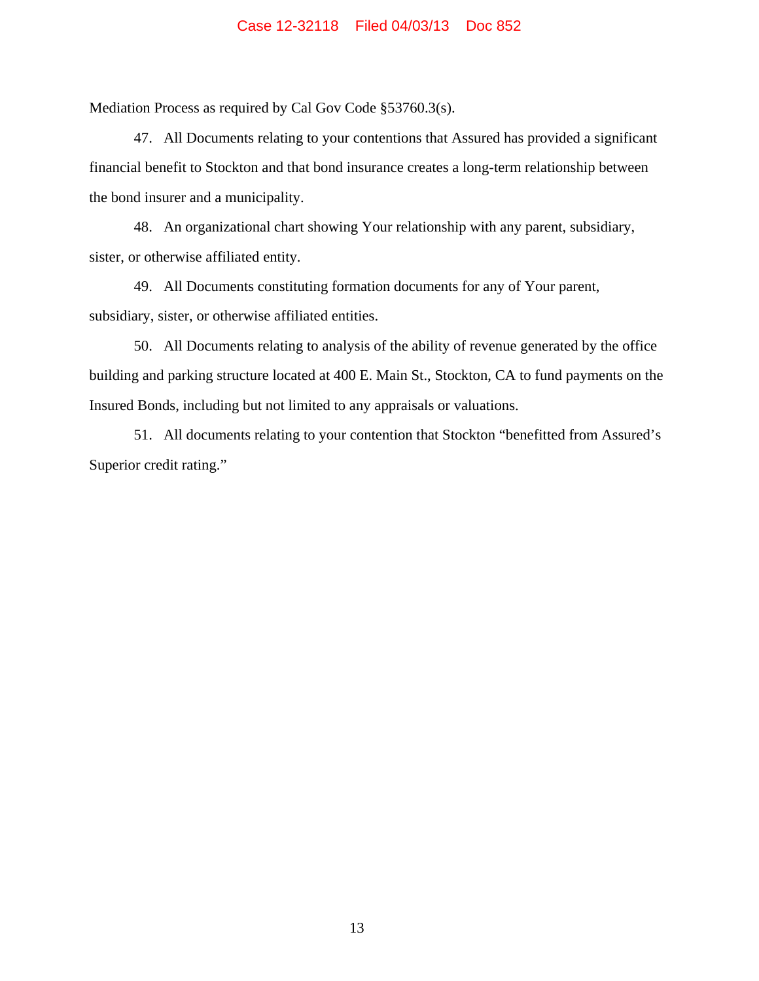Mediation Process as required by Cal Gov Code §53760.3(s).

47. All Documents relating to your contentions that Assured has provided a significant financial benefit to Stockton and that bond insurance creates a long-term relationship between the bond insurer and a municipality.

48. An organizational chart showing Your relationship with any parent, subsidiary, sister, or otherwise affiliated entity.

49. All Documents constituting formation documents for any of Your parent, subsidiary, sister, or otherwise affiliated entities.

50. All Documents relating to analysis of the ability of revenue generated by the office building and parking structure located at 400 E. Main St., Stockton, CA to fund payments on the Insured Bonds, including but not limited to any appraisals or valuations.

51. All documents relating to your contention that Stockton "benefitted from Assured's Superior credit rating."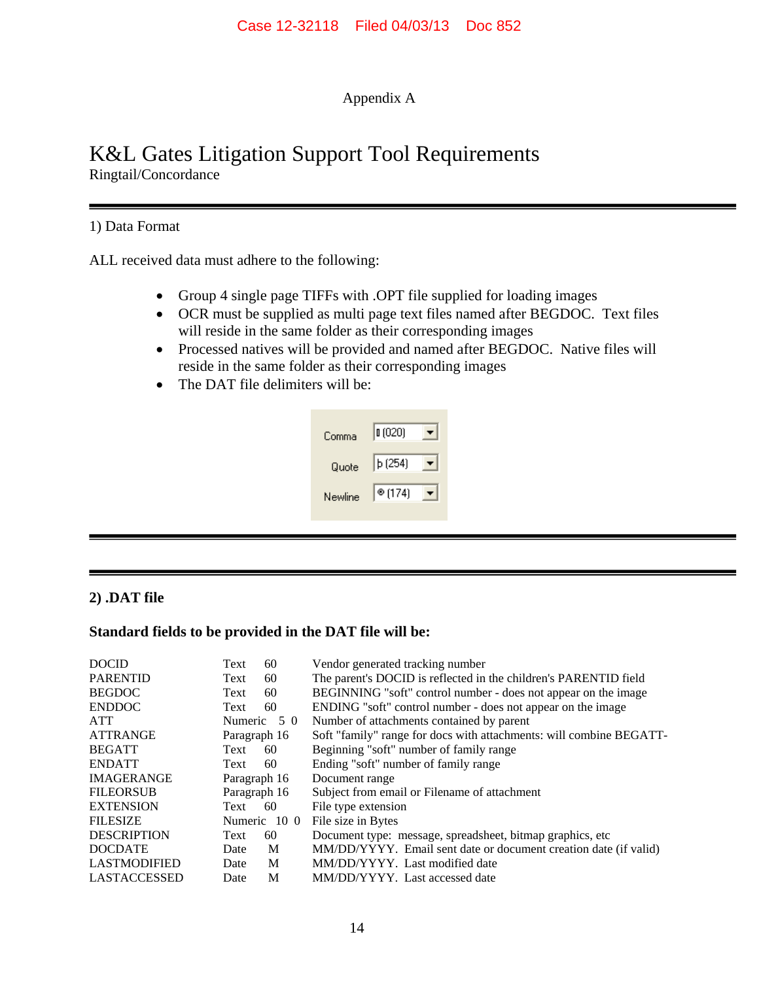# Appendix A

# K&L Gates Litigation Support Tool Requirements Ringtail/Concordance

# 1) Data Format

ALL received data must adhere to the following:

- Group 4 single page TIFFs with .OPT file supplied for loading images
- OCR must be supplied as multi page text files named after BEGDOC. Text files will reside in the same folder as their corresponding images
- Processed natives will be provided and named after BEGDOC. Native files will reside in the same folder as their corresponding images
- The DAT file delimiters will be:

| Comma   | (020)  |  |
|---------|--------|--|
| Quote   | b(254) |  |
| Newline | @(174) |  |

# **2) .DAT file**

# **Standard fields to be provided in the DAT file will be:**

| <b>DOCID</b>        | Text         | 60           | Vendor generated tracking number                                    |
|---------------------|--------------|--------------|---------------------------------------------------------------------|
| <b>PARENTID</b>     | Text         | 60           | The parent's DOCID is reflected in the children's PARENTID field    |
| <b>BEGDOC</b>       | Text         | 60           | BEGINNING "soft" control number - does not appear on the image      |
| <b>ENDDOC</b>       | Text         | 60           | ENDING "soft" control number - does not appear on the image         |
| <b>ATT</b>          | Numeric      | 50           | Number of attachments contained by parent                           |
| <b>ATTRANGE</b>     | Paragraph 16 |              | Soft "family" range for docs with attachments: will combine BEGATT- |
| <b>BEGATT</b>       | Text         | 60           | Beginning "soft" number of family range                             |
| <b>ENDATT</b>       | Text         | 60           | Ending "soft" number of family range                                |
| <b>IMAGERANGE</b>   | Paragraph 16 |              | Document range                                                      |
| <b>FILEORSUB</b>    | Paragraph 16 |              | Subject from email or Filename of attachment                        |
| <b>EXTENSION</b>    | Text         | 60           | File type extension                                                 |
| <b>FILESIZE</b>     |              | Numeric 10 0 | File size in Bytes                                                  |
| <b>DESCRIPTION</b>  | Text         | 60           | Document type: message, spreadsheet, bitmap graphics, etc.          |
| <b>DOCDATE</b>      | Date         | M            | MM/DD/YYYY. Email sent date or document creation date (if valid)    |
| <b>LASTMODIFIED</b> | Date         | M            | MM/DD/YYYY. Last modified date                                      |
| <b>LASTACCESSED</b> | Date         | M            | MM/DD/YYYY. Last accessed date                                      |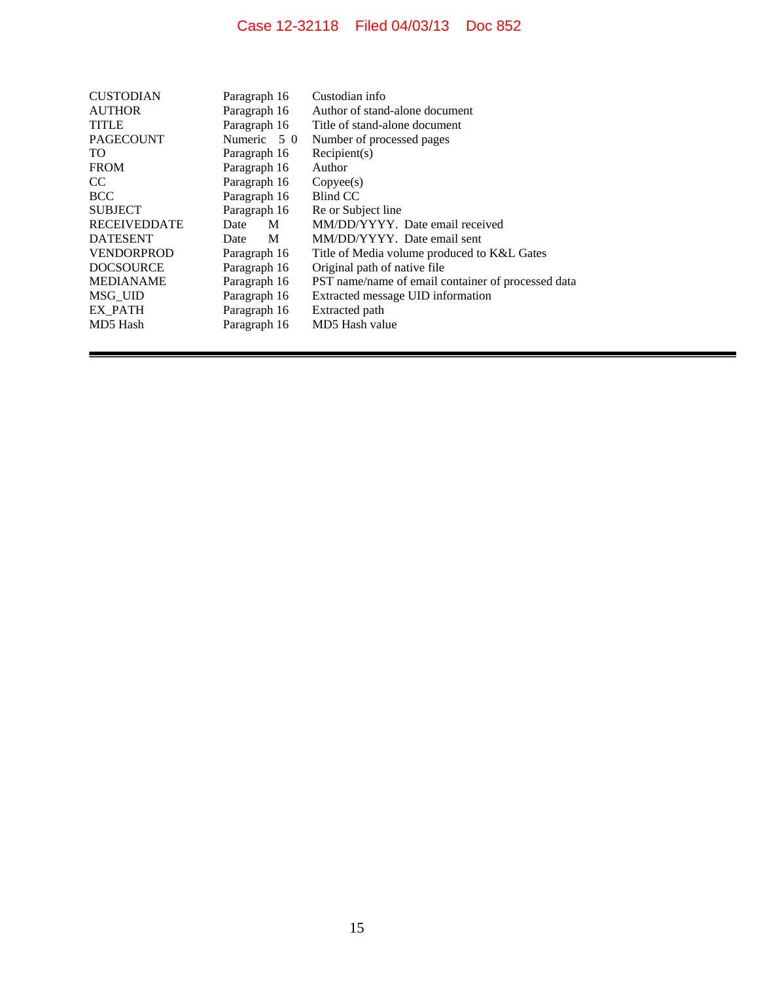| <b>CUSTODIAN</b>    | Paragraph 16 | Custodian info                                     |
|---------------------|--------------|----------------------------------------------------|
| <b>AUTHOR</b>       | Paragraph 16 | Author of stand-alone document                     |
| <b>TITLE</b>        | Paragraph 16 | Title of stand-alone document                      |
| <b>PAGECOUNT</b>    | Numeric 5 0  | Number of processed pages                          |
| TO.                 | Paragraph 16 | Recipient(s)                                       |
| <b>FROM</b>         | Paragraph 16 | Author                                             |
| <sub>CC</sub>       | Paragraph 16 | Copyee(s)                                          |
| <b>BCC</b>          | Paragraph 16 | Blind CC                                           |
| <b>SUBJECT</b>      | Paragraph 16 | Re or Subject line                                 |
| <b>RECEIVEDDATE</b> | M<br>Date    | MM/DD/YYYY. Date email received                    |
| <b>DATESENT</b>     | M<br>Date    | MM/DD/YYYY. Date email sent                        |
| <b>VENDORPROD</b>   | Paragraph 16 | Title of Media volume produced to K&L Gates        |
| <b>DOCSOURCE</b>    | Paragraph 16 | Original path of native file.                      |
| <b>MEDIANAME</b>    | Paragraph 16 | PST name/name of email container of processed data |
| MSG UID             | Paragraph 16 | Extracted message UID information                  |
| EX PATH             | Paragraph 16 | Extracted path                                     |
| MD5 Hash            | Paragraph 16 | MD5 Hash value                                     |
|                     |              |                                                    |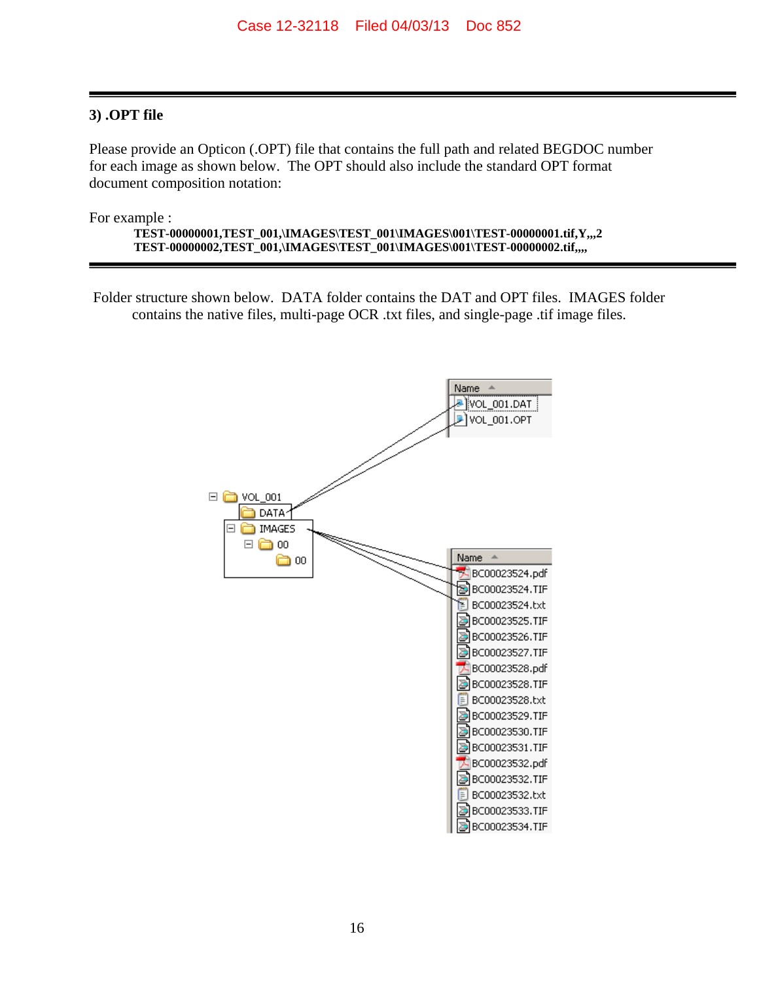# **3) .OPT file**

Please provide an Opticon (.OPT) file that contains the full path and related BEGDOC number for each image as shown below. The OPT should also include the standard OPT format document composition notation:

For example :

**TEST-00000001,TEST\_001,\IMAGES\TEST\_001\IMAGES\001\TEST-00000001.tif,Y,,,2 TEST-00000002,TEST\_001,\IMAGES\TEST\_001\IMAGES\001\TEST-00000002.tif,,,,** 

Folder structure shown below. DATA folder contains the DAT and OPT files. IMAGES folder contains the native files, multi-page OCR .txt files, and single-page .tif image files.